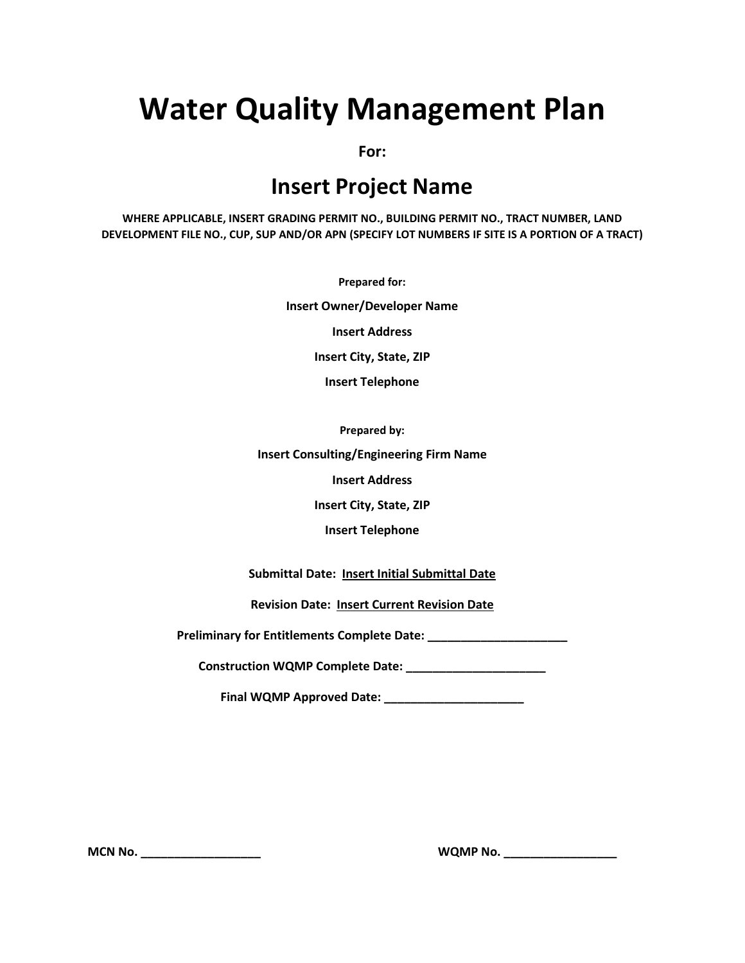# **Water Quality Management Plan**

**For:**

# **Insert Project Name**

**WHERE APPLICABLE, INSERT GRADING PERMIT NO., BUILDING PERMIT NO., TRACT NUMBER, LAND DEVELOPMENT FILE NO., CUP, SUP AND/OR APN (SPECIFY LOT NUMBERS IF SITE IS A PORTION OF A TRACT)**

**Prepared for:**

**Insert Owner/Developer Name**

**Insert Address**

**Insert City, State, ZIP**

**Insert Telephone**

**Prepared by:**

**Insert Consulting/Engineering Firm Name**

**Insert Address**

**Insert City, State, ZIP**

**Insert Telephone**

**Submittal Date: Insert Initial Submittal Date**

**Revision Date: Insert Current Revision Date**

**Preliminary for Entitlements Complete Date: \_\_\_\_\_\_\_\_\_\_\_\_\_\_\_\_\_\_\_\_\_**

**Construction WQMP Complete Date: \_\_\_\_\_\_\_\_\_\_\_\_\_\_\_\_\_\_\_\_\_**

**Final WQMP Approved Date: \_\_\_\_\_\_\_\_\_\_\_\_\_\_\_\_\_\_\_\_\_**

**MCN No. \_\_\_\_\_\_\_\_\_\_\_\_\_\_\_\_\_\_ WQMP No. \_\_\_\_\_\_\_\_\_\_\_\_\_\_\_\_\_**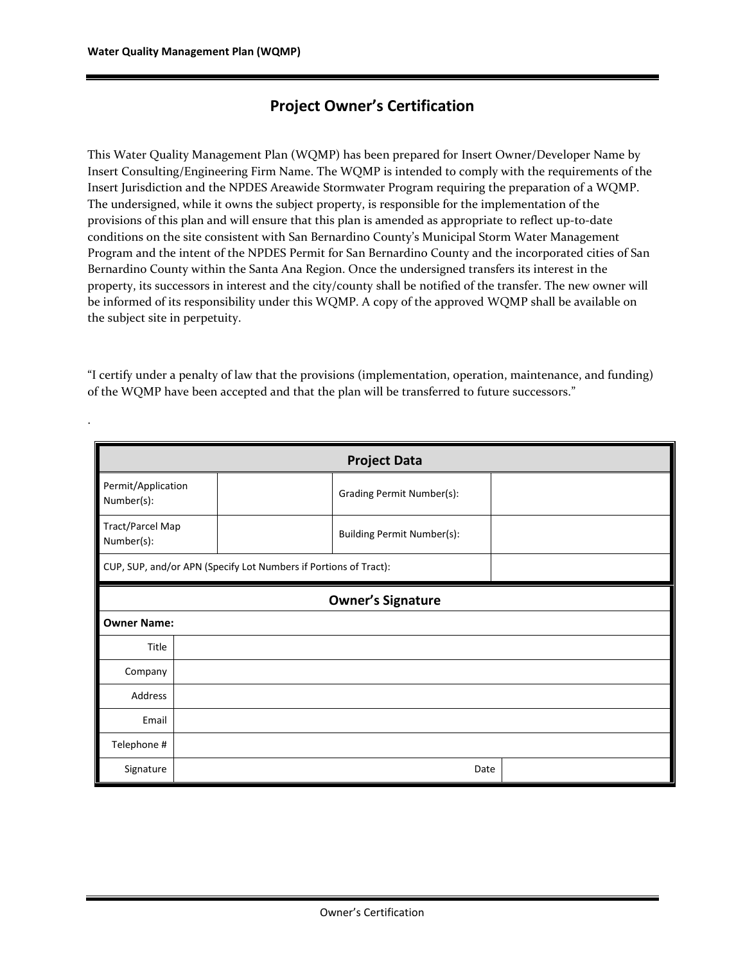.

### **Project Owner's Certification**

This Water Quality Management Plan (WQMP) has been prepared for Insert Owner/Developer Name by Insert Consulting/Engineering Firm Name. The WQMP is intended to comply with the requirements of the Insert Jurisdiction and the NPDES Areawide Stormwater Program requiring the preparation of a WQMP. The undersigned, while it owns the subject property, is responsible for the implementation of the provisions of this plan and will ensure that this plan is amended as appropriate to reflect up-to-date conditions on the site consistent with San Bernardino County's Municipal Storm Water Management Program and the intent of the NPDES Permit for San Bernardino County and the incorporated cities of San Bernardino County within the Santa Ana Region. Once the undersigned transfers its interest in the property, its successors in interest and the city/county shall be notified of the transfer. The new owner will be informed of its responsibility under this WQMP. A copy of the approved WQMP shall be available on the subject site in perpetuity.

"I certify under a penalty of law that the provisions (implementation, operation, maintenance, and funding) of the WQMP have been accepted and that the plan will be transferred to future successors."

| <b>Project Data</b>              |                          |                                                                  |  |  |  |  |  |
|----------------------------------|--------------------------|------------------------------------------------------------------|--|--|--|--|--|
| Permit/Application<br>Number(s): |                          | Grading Permit Number(s):                                        |  |  |  |  |  |
| Tract/Parcel Map<br>Number(s):   |                          | <b>Building Permit Number(s):</b>                                |  |  |  |  |  |
|                                  |                          | CUP, SUP, and/or APN (Specify Lot Numbers if Portions of Tract): |  |  |  |  |  |
|                                  | <b>Owner's Signature</b> |                                                                  |  |  |  |  |  |
| <b>Owner Name:</b>               |                          |                                                                  |  |  |  |  |  |
| Title                            |                          |                                                                  |  |  |  |  |  |
| Company                          |                          |                                                                  |  |  |  |  |  |
| Address                          |                          |                                                                  |  |  |  |  |  |
| Email                            |                          |                                                                  |  |  |  |  |  |
| Telephone #                      |                          |                                                                  |  |  |  |  |  |
| Signature                        |                          | Date                                                             |  |  |  |  |  |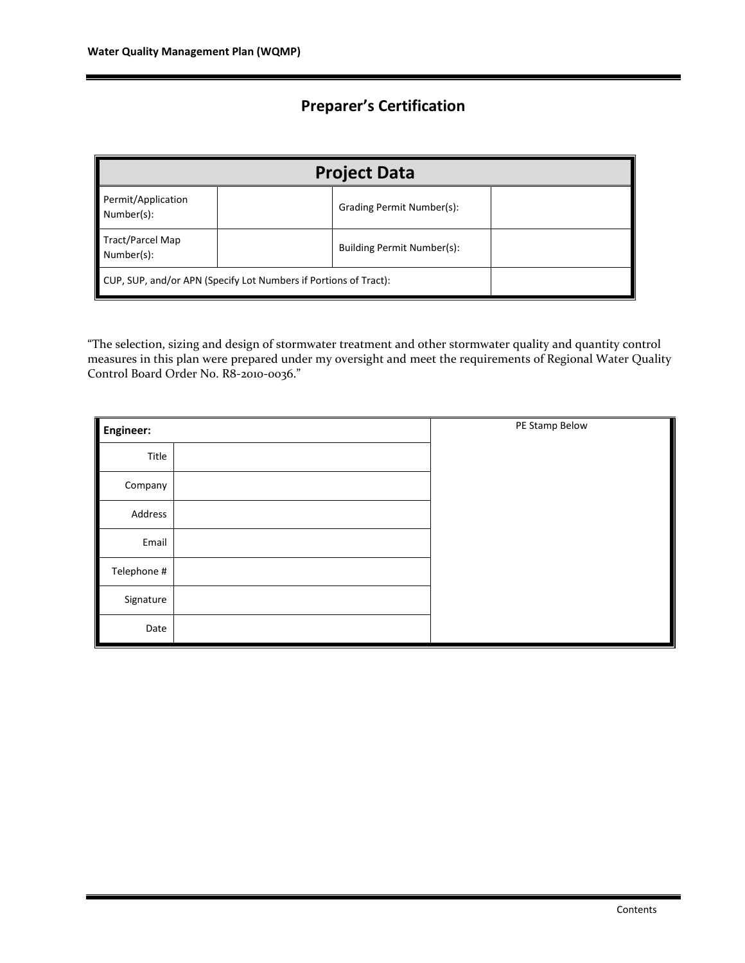### **Preparer's Certification**

| <b>Project Data</b>                                              |  |                            |  |  |  |  |
|------------------------------------------------------------------|--|----------------------------|--|--|--|--|
| Permit/Application<br>Number(s):                                 |  | Grading Permit Number(s):  |  |  |  |  |
| Tract/Parcel Map<br>Number(s):                                   |  | Building Permit Number(s): |  |  |  |  |
| CUP, SUP, and/or APN (Specify Lot Numbers if Portions of Tract): |  |                            |  |  |  |  |

"The selection, sizing and design of stormwater treatment and other stormwater quality and quantity control measures in this plan were prepared under my oversight and meet the requirements of Regional Water Quality Control Board Order No. R8-2010-0036."

| Engineer:        | PE Stamp Below |
|------------------|----------------|
| Title            |                |
| Company          |                |
| Address          |                |
| Email            |                |
| I<br>Telephone # |                |
| ║<br>Signature   |                |
| Date             |                |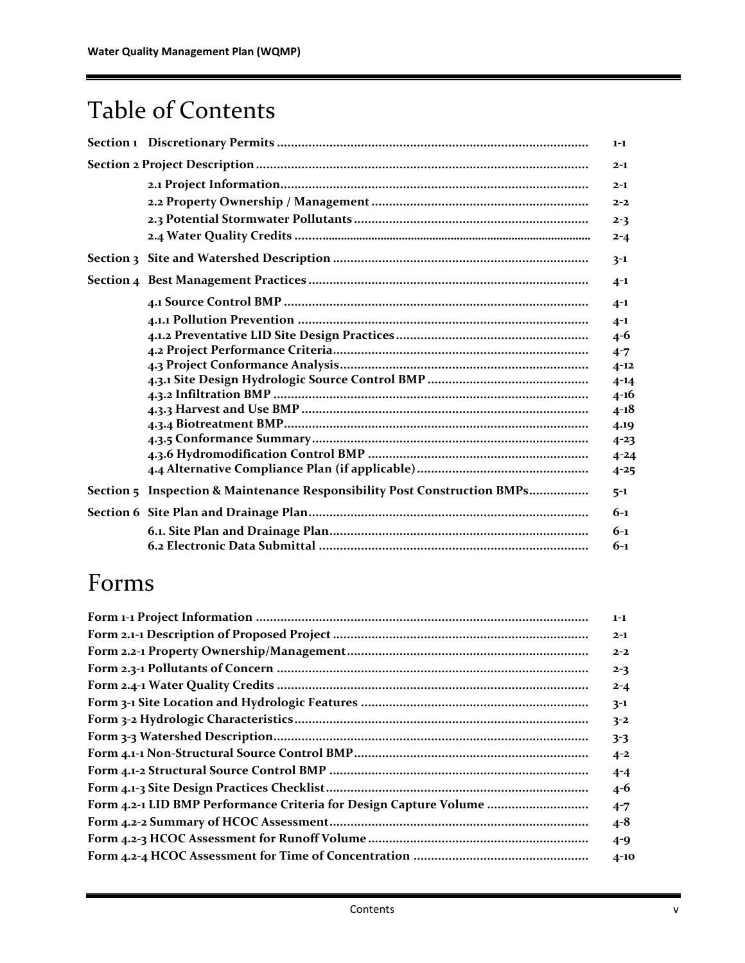# Table of Contents

|                                                                          | $1 - 1$  |
|--------------------------------------------------------------------------|----------|
|                                                                          | $2 - 1$  |
|                                                                          | $2 - 1$  |
|                                                                          | $2 - 2$  |
|                                                                          | $2 - 3$  |
|                                                                          | $2 - 4$  |
|                                                                          | $3-1$    |
|                                                                          | $4 - 1$  |
|                                                                          | $4 - 1$  |
|                                                                          | $4 - 1$  |
|                                                                          | $4 - 6$  |
|                                                                          | $4 - 7$  |
|                                                                          | $4 - 12$ |
|                                                                          | $4 - 14$ |
|                                                                          | $4 - 16$ |
|                                                                          | $4 - 18$ |
|                                                                          | 4.19     |
|                                                                          | $4 - 23$ |
|                                                                          | $4 - 24$ |
|                                                                          | $4 - 25$ |
| Section 5 Inspection & Maintenance Responsibility Post Construction BMPs | $5 - 1$  |
|                                                                          | $6 - 1$  |
|                                                                          | $6 - 1$  |
|                                                                          | $6 - 1$  |

# Forms

|                                                                   | $1 - 1$  |
|-------------------------------------------------------------------|----------|
|                                                                   | $2 - 1$  |
|                                                                   | $2 - 2$  |
|                                                                   | $2 - 3$  |
|                                                                   | $2 - 4$  |
|                                                                   | $3-1$    |
|                                                                   | $3 - 2$  |
|                                                                   | $3 - 3$  |
|                                                                   | $4 - 2$  |
|                                                                   | $4 - 4$  |
|                                                                   | $4 - 6$  |
| Form 4.2-1 LID BMP Performance Criteria for Design Capture Volume | $4 - 7$  |
|                                                                   | $4 - 8$  |
|                                                                   | $4 - 9$  |
|                                                                   | $4 - 10$ |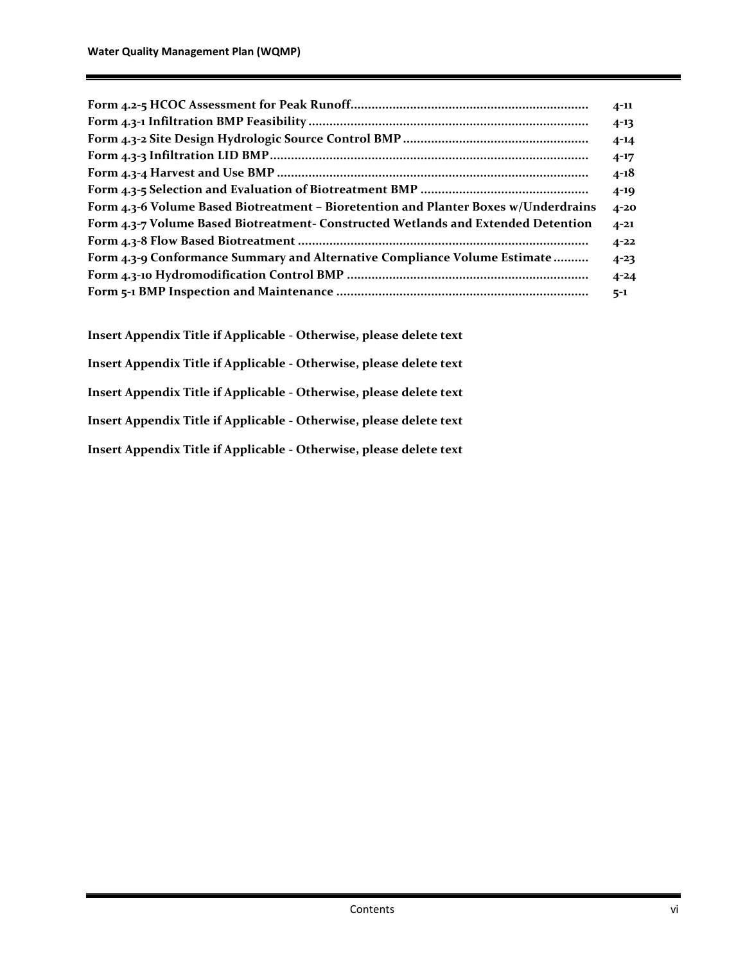|                                                                                     | $4 - 11$ |
|-------------------------------------------------------------------------------------|----------|
|                                                                                     | $4 - 13$ |
|                                                                                     | $4 - 14$ |
|                                                                                     | $4 - 17$ |
|                                                                                     | $4 - 18$ |
|                                                                                     | $4 - 19$ |
| Form 4.3-6 Volume Based Biotreatment – Bioretention and Planter Boxes w/Underdrains | $4 - 20$ |
| Form 4.3-7 Volume Based Biotreatment- Constructed Wetlands and Extended Detention   | $4 - 21$ |
|                                                                                     | $4 - 22$ |
| Form 4.3-9 Conformance Summary and Alternative Compliance Volume Estimate           | $4 - 23$ |
|                                                                                     | $4 - 24$ |
|                                                                                     | $5 - 1$  |

**Insert Appendix Title if Applicable - Otherwise, please delete text Insert Appendix Title if Applicable - Otherwise, please delete text Insert Appendix Title if Applicable - Otherwise, please delete text Insert Appendix Title if Applicable - Otherwise, please delete text Insert Appendix Title if Applicable - Otherwise, please delete text**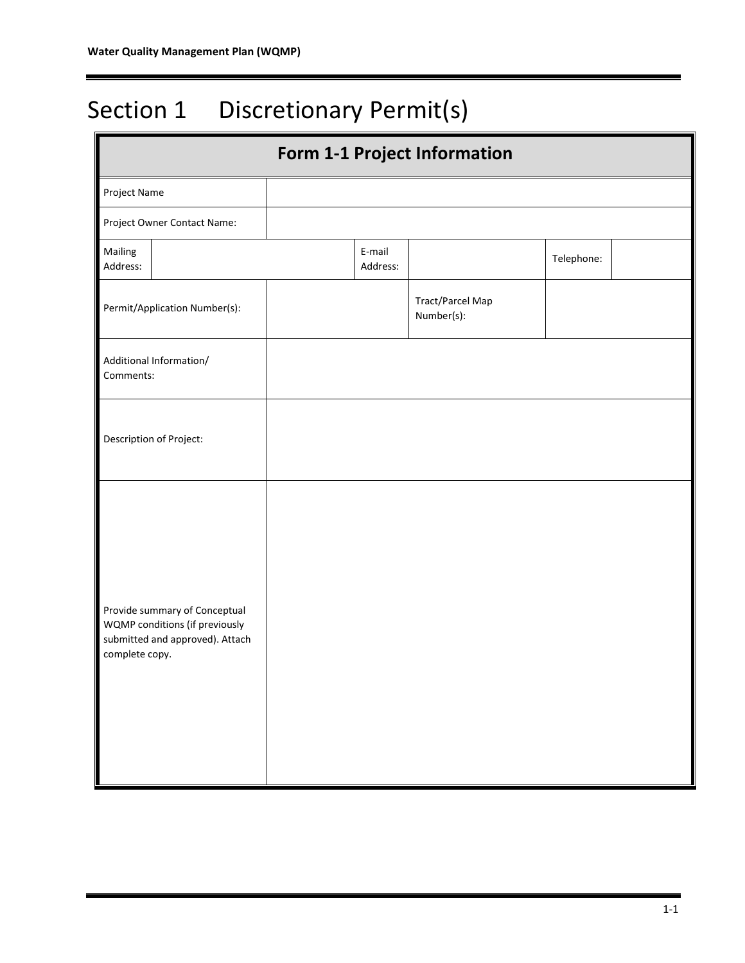# Section 1 Discretionary Permit(s)

| <b>Form 1-1 Project Information</b>                                                                                  |                    |                                |            |  |  |  |  |
|----------------------------------------------------------------------------------------------------------------------|--------------------|--------------------------------|------------|--|--|--|--|
| Project Name                                                                                                         |                    |                                |            |  |  |  |  |
| Project Owner Contact Name:                                                                                          |                    |                                |            |  |  |  |  |
| Mailing<br>Address:                                                                                                  | E-mail<br>Address: |                                | Telephone: |  |  |  |  |
| Permit/Application Number(s):                                                                                        |                    | Tract/Parcel Map<br>Number(s): |            |  |  |  |  |
| Additional Information/<br>Comments:                                                                                 |                    |                                |            |  |  |  |  |
| Description of Project:                                                                                              |                    |                                |            |  |  |  |  |
| Provide summary of Conceptual<br>WQMP conditions (if previously<br>submitted and approved). Attach<br>complete copy. |                    |                                |            |  |  |  |  |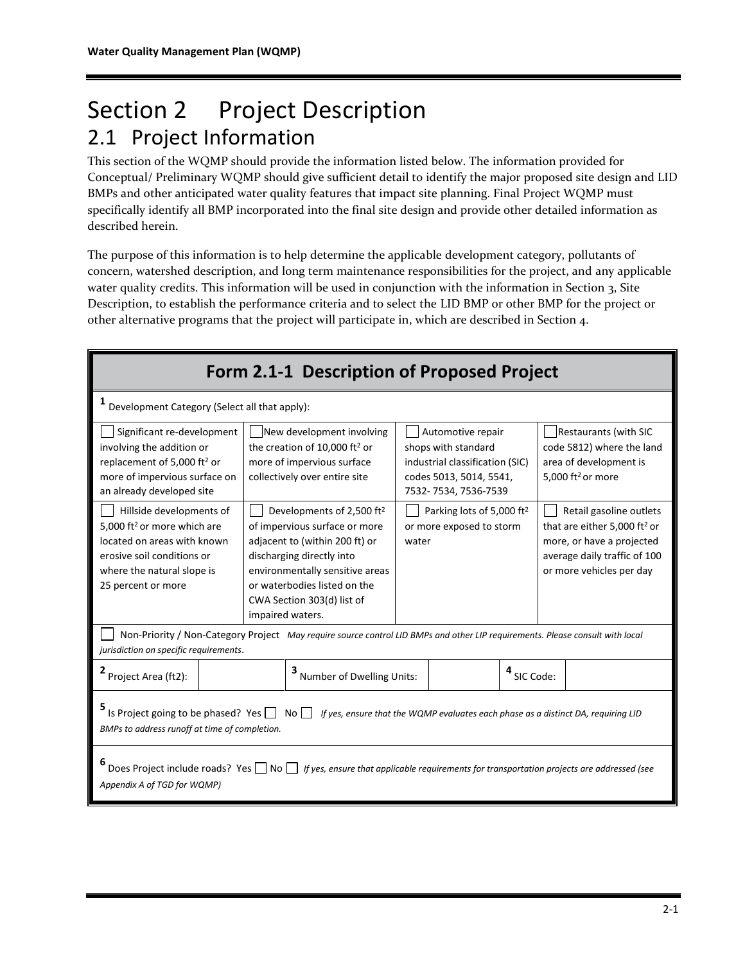# Section 2 Project Description 2.1 Project Information

This section of the WQMP should provide the information listed below. The information provided for Conceptual/ Preliminary WQMP should give sufficient detail to identify the major proposed site design and LID BMPs and other anticipated water quality features that impact site planning. Final Project WQMP must specifically identify all BMP incorporated into the final site design and provide other detailed information as described herein.

The purpose of this information is to help determine the applicable development category, pollutants of concern, watershed description, and long term maintenance responsibilities for the project, and any applicable water quality credits. This information will be used in conjunction with the information in Section 3, Site Description, to establish the performance criteria and to select the LID BMP or other BMP for the project or other alternative programs that the project will participate in, which are described in Section 4.

| Form 2.1-1 Description of Proposed Project                                                                                                                                                |                                                                                                                                                                                                                                                                                                                                          |                                                                                                                                       |  |                                                                                                                                |                                                                                                                                                              |                                                                                                                      |  |
|-------------------------------------------------------------------------------------------------------------------------------------------------------------------------------------------|------------------------------------------------------------------------------------------------------------------------------------------------------------------------------------------------------------------------------------------------------------------------------------------------------------------------------------------|---------------------------------------------------------------------------------------------------------------------------------------|--|--------------------------------------------------------------------------------------------------------------------------------|--------------------------------------------------------------------------------------------------------------------------------------------------------------|----------------------------------------------------------------------------------------------------------------------|--|
| 1<br>Development Category (Select all that apply):                                                                                                                                        |                                                                                                                                                                                                                                                                                                                                          |                                                                                                                                       |  |                                                                                                                                |                                                                                                                                                              |                                                                                                                      |  |
| Significant re-development<br>involving the addition or<br>replacement of 5,000 ft <sup>2</sup> or<br>more of impervious surface on<br>an already developed site                          |                                                                                                                                                                                                                                                                                                                                          | New development involving<br>the creation of 10,000 ft <sup>2</sup> or<br>more of impervious surface<br>collectively over entire site |  | Automotive repair<br>shops with standard<br>industrial classification (SIC)<br>codes 5013, 5014, 5541,<br>7532-7534, 7536-7539 |                                                                                                                                                              | <b>Restaurants (with SIC</b><br>code 5812) where the land<br>area of development is<br>5,000 ft <sup>2</sup> or more |  |
| Hillside developments of<br>5,000 ft <sup>2</sup> or more which are<br>located on areas with known<br>erosive soil conditions or<br>where the natural slope is<br>25 percent or more      | Developments of 2,500 ft <sup>2</sup><br>Parking lots of 5,000 ft <sup>2</sup><br>of impervious surface or more<br>or more exposed to storm<br>adjacent to (within 200 ft) or<br>water<br>discharging directly into<br>environmentally sensitive areas<br>or waterbodies listed on the<br>CWA Section 303(d) list of<br>impaired waters. |                                                                                                                                       |  |                                                                                                                                | Retail gasoline outlets<br>that are either 5,000 ft <sup>2</sup> or<br>more, or have a projected<br>average daily traffic of 100<br>or more vehicles per day |                                                                                                                      |  |
| Non-Priority / Non-Category Project May require source control LID BMPs and other LIP requirements. Please consult with local<br>jurisdiction on specific requirements.                   |                                                                                                                                                                                                                                                                                                                                          |                                                                                                                                       |  |                                                                                                                                |                                                                                                                                                              |                                                                                                                      |  |
| Project Area (ft2):                                                                                                                                                                       |                                                                                                                                                                                                                                                                                                                                          | <sup>3</sup> Number of Dwelling Units:                                                                                                |  |                                                                                                                                | <sup>4</sup> SIC Code:                                                                                                                                       |                                                                                                                      |  |
| Is Project going to be phased? Yes $\Box$<br>No $\Box$ If yes, ensure that the WQMP evaluates each phase as a distinct DA, requiring LID<br>BMPs to address runoff at time of completion. |                                                                                                                                                                                                                                                                                                                                          |                                                                                                                                       |  |                                                                                                                                |                                                                                                                                                              |                                                                                                                      |  |
| Does Project include roads? Yes □ No □ If yes, ensure that applicable requirements for transportation projects are addressed (see<br>Appendix A of TGD for WQMP)                          |                                                                                                                                                                                                                                                                                                                                          |                                                                                                                                       |  |                                                                                                                                |                                                                                                                                                              |                                                                                                                      |  |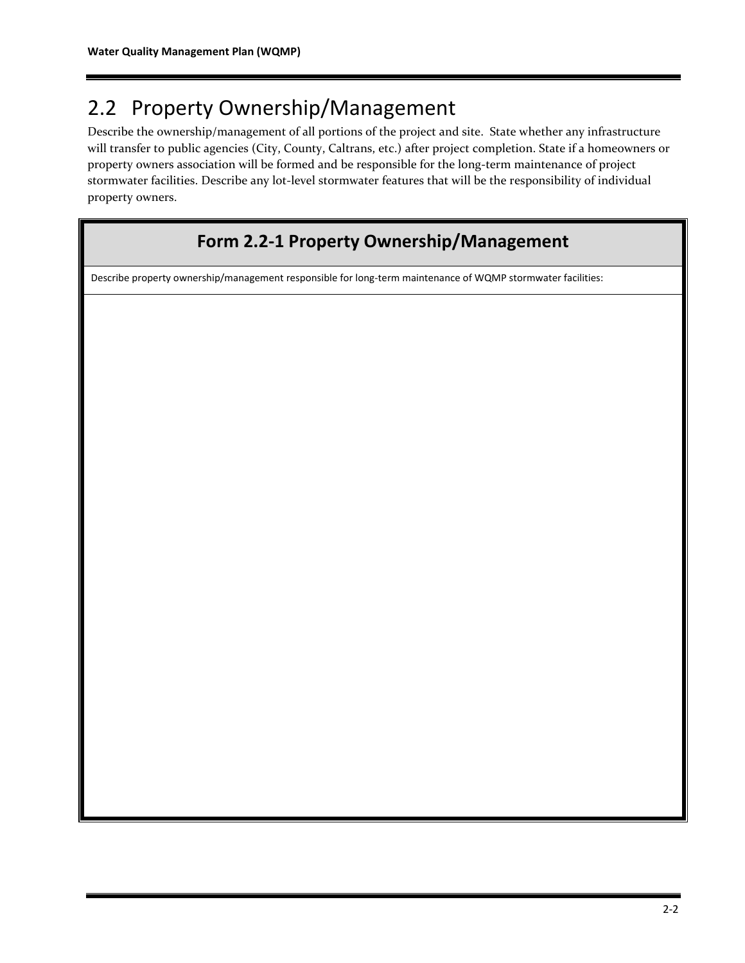## 2.2 Property Ownership/Management

Describe the ownership/management of all portions of the project and site. State whether any infrastructure will transfer to public agencies (City, County, Caltrans, etc.) after project completion. State if a homeowners or property owners association will be formed and be responsible for the long-term maintenance of project stormwater facilities. Describe any lot-level stormwater features that will be the responsibility of individual property owners.

### **Form 2.2-1 Property Ownership/Management**

Describe property ownership/management responsible for long-term maintenance of WQMP stormwater facilities: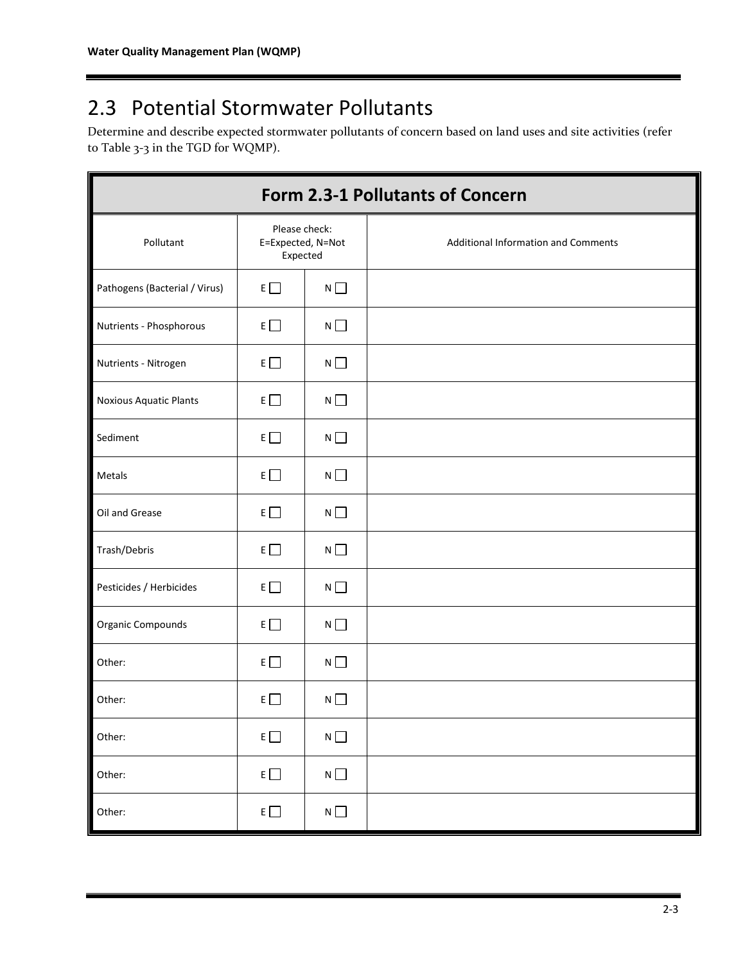# 2.3 Potential Stormwater Pollutants

Determine and describe expected stormwater pollutants of concern based on land uses and site activities (refer to Table 3-3 in the TGD for WQMP).

| Form 2.3-1 Pollutants of Concern |                                                |             |                                     |  |  |  |  |
|----------------------------------|------------------------------------------------|-------------|-------------------------------------|--|--|--|--|
| Pollutant                        | Please check:<br>E=Expected, N=Not<br>Expected |             | Additional Information and Comments |  |  |  |  |
| Pathogens (Bacterial / Virus)    | $E \Box$                                       | $N \Box$    |                                     |  |  |  |  |
| Nutrients - Phosphorous          | $E \Box$                                       | $N$ $\Box$  |                                     |  |  |  |  |
| Nutrients - Nitrogen             | $E \Box$                                       | $N \Box$    |                                     |  |  |  |  |
| <b>Noxious Aquatic Plants</b>    | $E \Box$                                       | $N \Box$    |                                     |  |  |  |  |
| Sediment                         | $E \Box$                                       | $N \Box$    |                                     |  |  |  |  |
| Metals                           | $E \Box$                                       | $N \square$ |                                     |  |  |  |  |
| Oil and Grease                   | $E \Box$                                       | $N \Box$    |                                     |  |  |  |  |
| Trash/Debris                     | $E \Box$                                       | $N \Box$    |                                     |  |  |  |  |
| Pesticides / Herbicides          | $E \Box$                                       | $N \Box$    |                                     |  |  |  |  |
| Organic Compounds                | $E \Box$                                       | $N$ $\Box$  |                                     |  |  |  |  |
| Other:                           | $E \Box$                                       | $N \square$ |                                     |  |  |  |  |
| Other:                           | $E \Box$                                       | $N$ $\Box$  |                                     |  |  |  |  |
| Other:                           | $E \Box$                                       | $N\ \Box$   |                                     |  |  |  |  |
| Other:                           | $E \Box$                                       | $N\,\Box$   |                                     |  |  |  |  |
| Other:                           | $E \Box$                                       | $N \Box$    |                                     |  |  |  |  |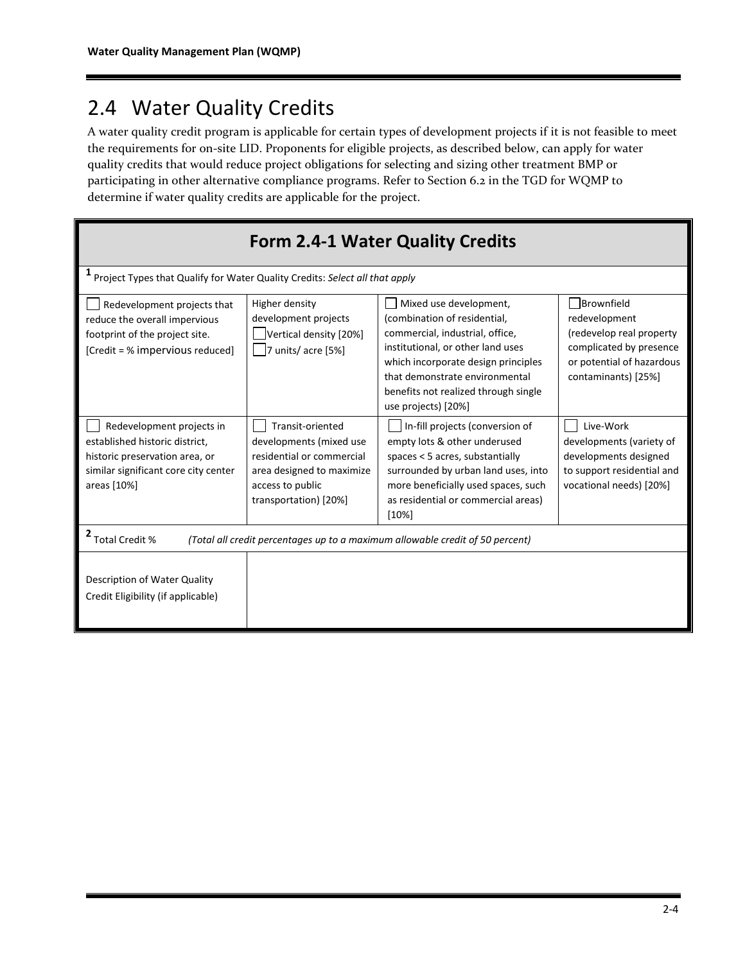## 2.4 Water Quality Credits

A water quality credit program is applicable for certain types of development projects if it is not feasible to meet the requirements for on-site LID. Proponents for eligible projects, as described below, can apply for water quality credits that would reduce project obligations for selecting and sizing other treatment BMP or participating in other alternative compliance programs. Refer to Section 6.2 in the TGD for WQMP to determine if water quality credits are applicable for the project.

| <b>Form 2.4-1 Water Quality Credits</b>                                                                                                              |                                                                                                                                                    |                                                                                                                                                                                                                                                                        |                                                                                                                                        |  |  |  |  |  |
|------------------------------------------------------------------------------------------------------------------------------------------------------|----------------------------------------------------------------------------------------------------------------------------------------------------|------------------------------------------------------------------------------------------------------------------------------------------------------------------------------------------------------------------------------------------------------------------------|----------------------------------------------------------------------------------------------------------------------------------------|--|--|--|--|--|
|                                                                                                                                                      | Project Types that Qualify for Water Quality Credits: Select all that apply                                                                        |                                                                                                                                                                                                                                                                        |                                                                                                                                        |  |  |  |  |  |
| Redevelopment projects that<br>reduce the overall impervious<br>footprint of the project site.<br>[Credit = % impervious reduced]                    | Higher density<br>development projects<br>Vertical density [20%]<br>7 units/acre [5%]                                                              | Mixed use development,<br>(combination of residential,<br>commercial, industrial, office,<br>institutional, or other land uses<br>which incorporate design principles<br>that demonstrate environmental<br>benefits not realized through single<br>use projects) [20%] | Brownfield<br>redevelopment<br>(redevelop real property<br>complicated by presence<br>or potential of hazardous<br>contaminants) [25%] |  |  |  |  |  |
| Redevelopment projects in<br>established historic district,<br>historic preservation area, or<br>similar significant core city center<br>areas [10%] | Transit-oriented<br>developments (mixed use<br>residential or commercial<br>area designed to maximize<br>access to public<br>transportation) [20%] | In-fill projects (conversion of<br>empty lots & other underused<br>spaces $<$ 5 acres, substantially<br>surrounded by urban land uses, into<br>more beneficially used spaces, such<br>as residential or commercial areas)<br>[10%]                                     | Live-Work<br>developments (variety of<br>developments designed<br>to support residential and<br>vocational needs) [20%]                |  |  |  |  |  |
| 2 Total Credit %                                                                                                                                     |                                                                                                                                                    | (Total all credit percentages up to a maximum allowable credit of 50 percent)                                                                                                                                                                                          |                                                                                                                                        |  |  |  |  |  |
| Description of Water Quality<br>Credit Eligibility (if applicable)                                                                                   |                                                                                                                                                    |                                                                                                                                                                                                                                                                        |                                                                                                                                        |  |  |  |  |  |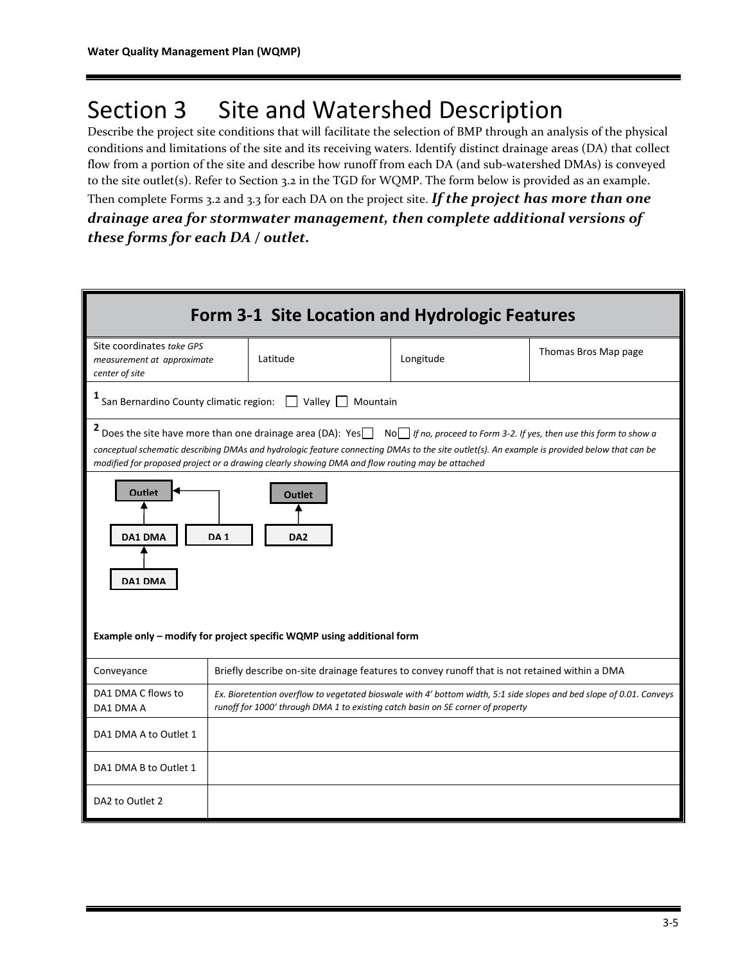# Section 3 Site and Watershed Description

Describe the project site conditions that will facilitate the selection of BMP through an analysis of the physical conditions and limitations of the site and its receiving waters. Identify distinct drainage areas (DA) that collect flow from a portion of the site and describe how runoff from each DA (and sub-watershed DMAs) is conveyed to the site outlet(s). Refer to Section 3.2 in the TGD for WQMP. The form below is provided as an example. Then complete Forms 3.2 and 3.3 for each DA on the project site. *If the project has more than one drainage area for stormwater management, then complete additional versions of these forms for each DA / outlet.*

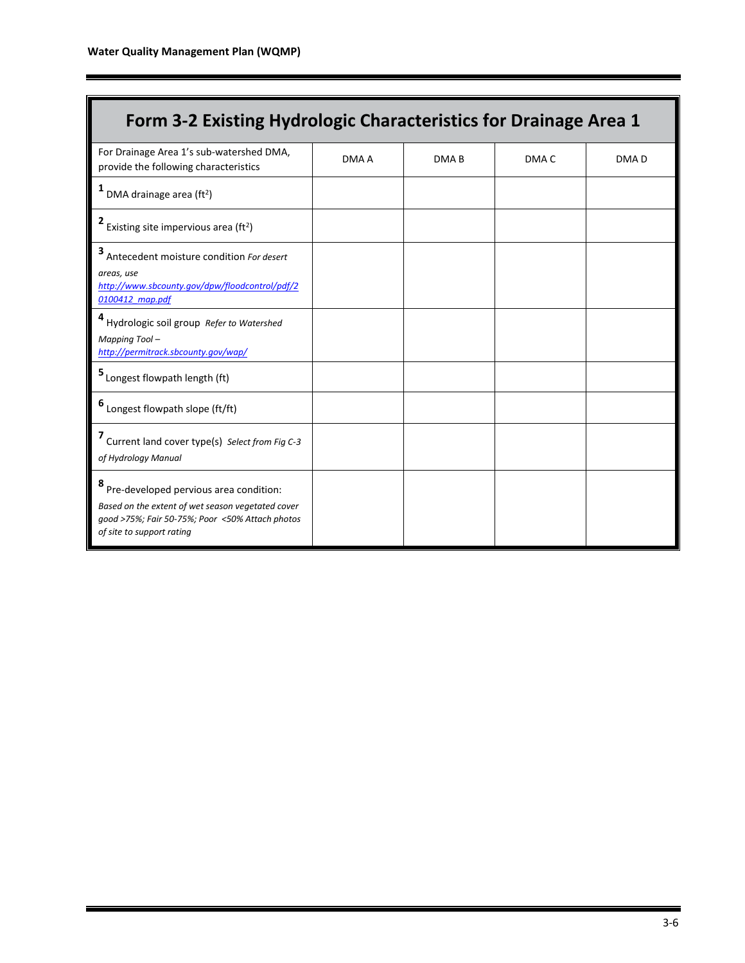Г

| Form 3-2 Existing Hydrologic Characteristics for Drainage Area 1                                                                                                            |       |                  |       |                  |
|-----------------------------------------------------------------------------------------------------------------------------------------------------------------------------|-------|------------------|-------|------------------|
| For Drainage Area 1's sub-watershed DMA,<br>provide the following characteristics                                                                                           | DMA A | DMA <sub>B</sub> | DMA C | DMA <sub>D</sub> |
| DMA drainage area (ft <sup>2</sup> )                                                                                                                                        |       |                  |       |                  |
| Existing site impervious area (ft <sup>2</sup> )                                                                                                                            |       |                  |       |                  |
| 3 Antecedent moisture condition For desert<br>areas, use<br>http://www.sbcounty.gov/dpw/floodcontrol/pdf/2<br>0100412 map.pdf                                               |       |                  |       |                  |
| Hydrologic soil group Refer to Watershed<br>Mapping Tool-<br>http://permitrack.sbcounty.gov/wap/                                                                            |       |                  |       |                  |
| 5 Longest flowpath length (ft)                                                                                                                                              |       |                  |       |                  |
| 6 Longest flowpath slope (ft/ft)                                                                                                                                            |       |                  |       |                  |
| 7 Current land cover type(s) Select from Fig C-3<br>of Hydrology Manual                                                                                                     |       |                  |       |                  |
| Pre-developed pervious area condition:<br>Based on the extent of wet season vegetated cover<br>good >75%; Fair 50-75%; Poor <50% Attach photos<br>of site to support rating |       |                  |       |                  |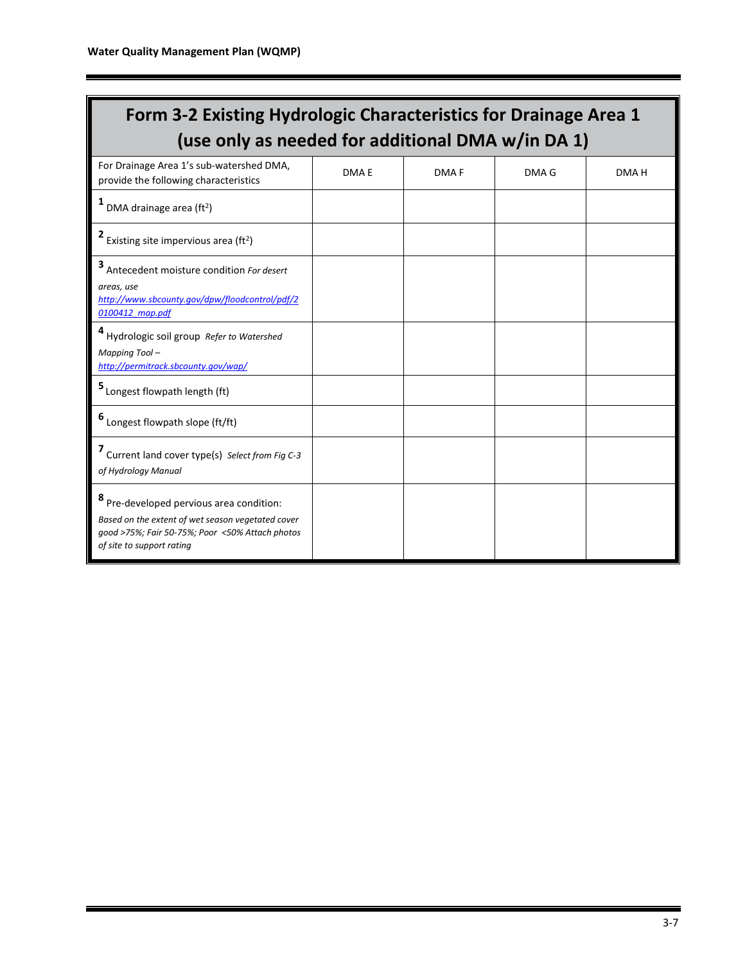| Form 3-2 Existing Hydrologic Characteristics for Drainage Area 1<br>(use only as needed for additional DMA w/in DA 1)                                                       |       |                  |       |       |  |  |  |  |
|-----------------------------------------------------------------------------------------------------------------------------------------------------------------------------|-------|------------------|-------|-------|--|--|--|--|
| For Drainage Area 1's sub-watershed DMA,<br>provide the following characteristics                                                                                           | DMA E | DMA <sub>F</sub> | DMA G | DMA H |  |  |  |  |
| 1<br>DMA drainage area (ft <sup>2</sup> )                                                                                                                                   |       |                  |       |       |  |  |  |  |
| 2 Existing site impervious area (ft <sup>2</sup> )                                                                                                                          |       |                  |       |       |  |  |  |  |
| 3 Antecedent moisture condition For desert<br>areas, use<br>http://www.sbcounty.gov/dpw/floodcontrol/pdf/2<br>0100412 map.pdf                                               |       |                  |       |       |  |  |  |  |
| Hydrologic soil group Refer to Watershed<br>Mapping Tool-<br>http://permitrack.sbcounty.gov/wap/                                                                            |       |                  |       |       |  |  |  |  |
| 5 Longest flowpath length (ft)                                                                                                                                              |       |                  |       |       |  |  |  |  |
| 6 Longest flowpath slope (ft/ft)                                                                                                                                            |       |                  |       |       |  |  |  |  |
| 7 Current land cover type(s) Select from Fig C-3<br>of Hydrology Manual                                                                                                     |       |                  |       |       |  |  |  |  |
| Pre-developed pervious area condition:<br>Based on the extent of wet season vegetated cover<br>good >75%; Fair 50-75%; Poor <50% Attach photos<br>of site to support rating |       |                  |       |       |  |  |  |  |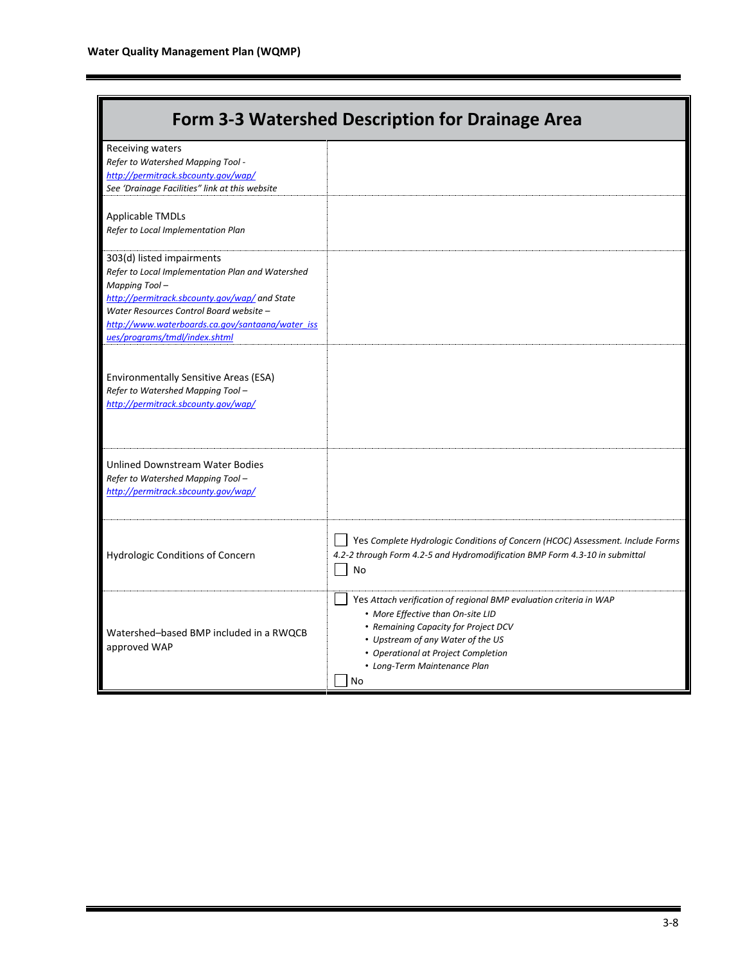| Form 3-3 Watershed Description for Drainage Area                                                                                                                                                                                                                                |                                                                                                                                                                                                                                                                   |  |  |  |  |  |  |
|---------------------------------------------------------------------------------------------------------------------------------------------------------------------------------------------------------------------------------------------------------------------------------|-------------------------------------------------------------------------------------------------------------------------------------------------------------------------------------------------------------------------------------------------------------------|--|--|--|--|--|--|
| Receiving waters<br>Refer to Watershed Mapping Tool -<br>http://permitrack.sbcounty.gov/wap/<br>See 'Drainage Facilities" link at this website                                                                                                                                  |                                                                                                                                                                                                                                                                   |  |  |  |  |  |  |
| <b>Applicable TMDLs</b><br>Refer to Local Implementation Plan                                                                                                                                                                                                                   |                                                                                                                                                                                                                                                                   |  |  |  |  |  |  |
| 303(d) listed impairments<br>Refer to Local Implementation Plan and Watershed<br>Mapping Tool-<br>http://permitrack.sbcounty.gov/wap/ and State<br>Water Resources Control Board website -<br>http://www.waterboards.ca.gov/santaana/water_iss<br>ues/programs/tmdl/index.shtml |                                                                                                                                                                                                                                                                   |  |  |  |  |  |  |
| Environmentally Sensitive Areas (ESA)<br>Refer to Watershed Mapping Tool-<br>http://permitrack.sbcounty.gov/wap/                                                                                                                                                                |                                                                                                                                                                                                                                                                   |  |  |  |  |  |  |
| Unlined Downstream Water Bodies<br>Refer to Watershed Mapping Tool-<br>http://permitrack.sbcounty.gov/wap/                                                                                                                                                                      |                                                                                                                                                                                                                                                                   |  |  |  |  |  |  |
| Hydrologic Conditions of Concern                                                                                                                                                                                                                                                | Yes Complete Hydrologic Conditions of Concern (HCOC) Assessment. Include Forms<br>4.2-2 through Form 4.2-5 and Hydromodification BMP Form 4.3-10 in submittal<br>No                                                                                               |  |  |  |  |  |  |
| Watershed-based BMP included in a RWQCB<br>approved WAP                                                                                                                                                                                                                         | Yes Attach verification of regional BMP evaluation criteria in WAP<br>• More Effective than On-site LID<br>• Remaining Capacity for Project DCV<br>• Upstream of any Water of the US<br>• Operational at Project Completion<br>• Long-Term Maintenance Plan<br>No |  |  |  |  |  |  |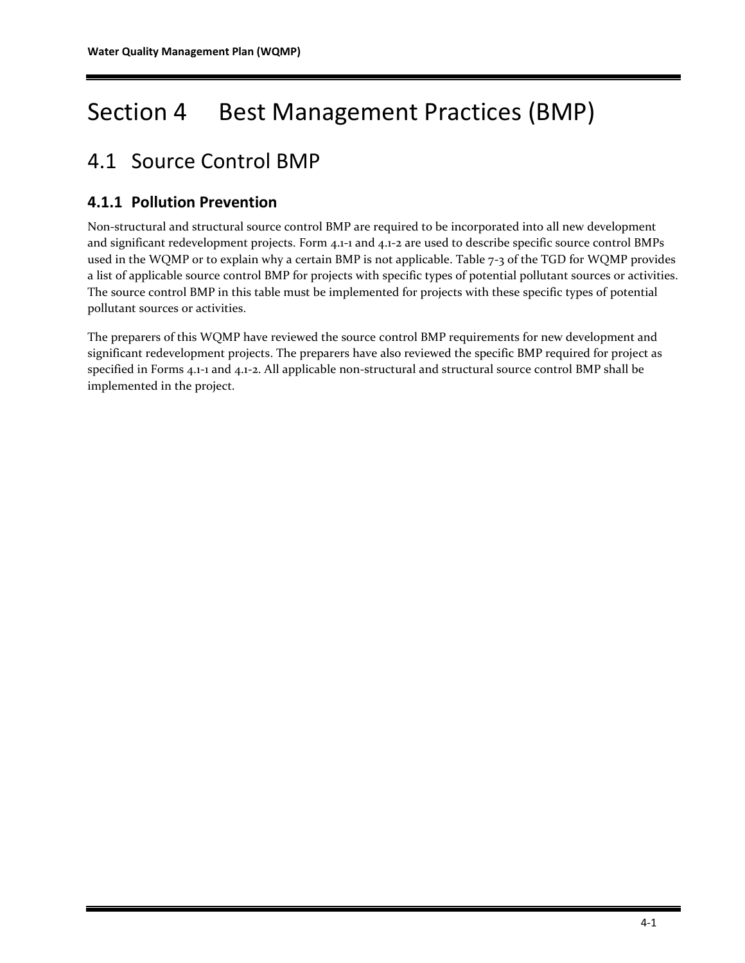# Section 4 Best Management Practices (BMP)

## 4.1 Source Control BMP

### **4.1.1 Pollution Prevention**

Non-structural and structural source control BMP are required to be incorporated into all new development and significant redevelopment projects. Form 4.1-1 and 4.1-2 are used to describe specific source control BMPs used in the WQMP or to explain why a certain BMP is not applicable. Table 7-3 of the TGD for WQMP provides a list of applicable source control BMP for projects with specific types of potential pollutant sources or activities. The source control BMP in this table must be implemented for projects with these specific types of potential pollutant sources or activities.

The preparers of this WQMP have reviewed the source control BMP requirements for new development and significant redevelopment projects. The preparers have also reviewed the specific BMP required for project as specified in Forms 4.1-1 and 4.1-2. All applicable non-structural and structural source control BMP shall be implemented in the project.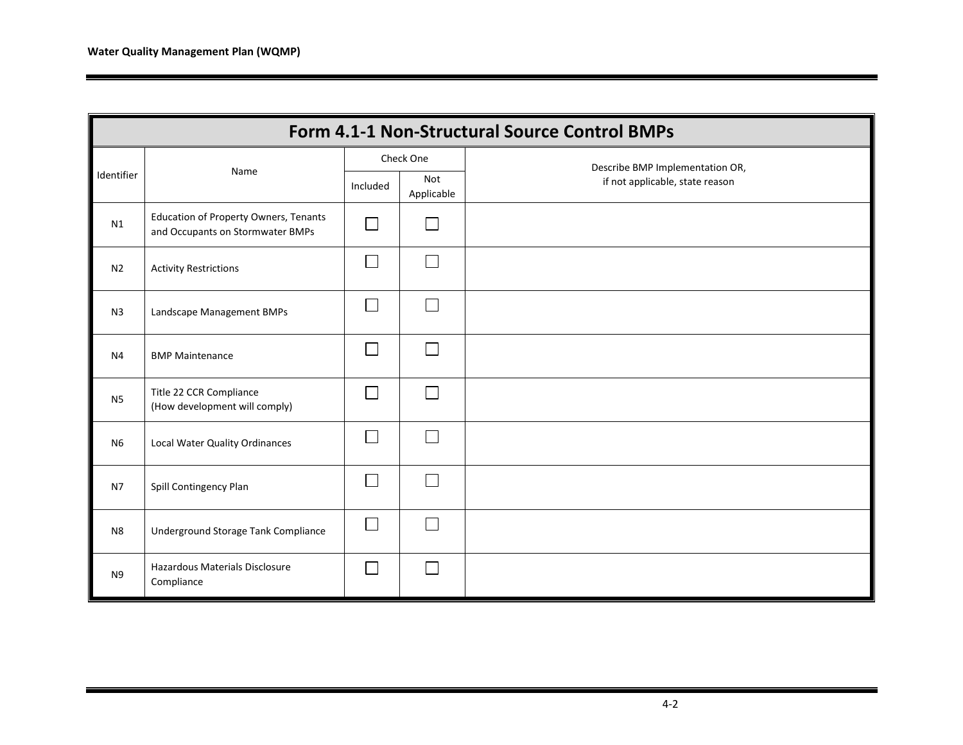|                | Form 4.1-1 Non-Structural Source Control BMPs                                    |          |                   |                                 |  |  |  |  |  |
|----------------|----------------------------------------------------------------------------------|----------|-------------------|---------------------------------|--|--|--|--|--|
|                | Name                                                                             |          | Check One         | Describe BMP Implementation OR, |  |  |  |  |  |
| Identifier     |                                                                                  | Included | Not<br>Applicable | if not applicable, state reason |  |  |  |  |  |
| N1             | <b>Education of Property Owners, Tenants</b><br>and Occupants on Stormwater BMPs |          | $\Box$            |                                 |  |  |  |  |  |
| N <sub>2</sub> | <b>Activity Restrictions</b>                                                     |          | $\Box$            |                                 |  |  |  |  |  |
| N <sub>3</sub> | Landscape Management BMPs                                                        |          | П                 |                                 |  |  |  |  |  |
| N <sub>4</sub> | <b>BMP Maintenance</b>                                                           | $\sim$   | $\Box$            |                                 |  |  |  |  |  |
| N <sub>5</sub> | Title 22 CCR Compliance<br>(How development will comply)                         |          | П                 |                                 |  |  |  |  |  |
| N <sub>6</sub> | Local Water Quality Ordinances                                                   |          | П                 |                                 |  |  |  |  |  |
| N7             | Spill Contingency Plan                                                           |          | $\Box$            |                                 |  |  |  |  |  |
| N <sub>8</sub> | Underground Storage Tank Compliance                                              | $\sim$   | $\Box$            |                                 |  |  |  |  |  |
| N <sub>9</sub> | Hazardous Materials Disclosure<br>Compliance                                     |          | L                 |                                 |  |  |  |  |  |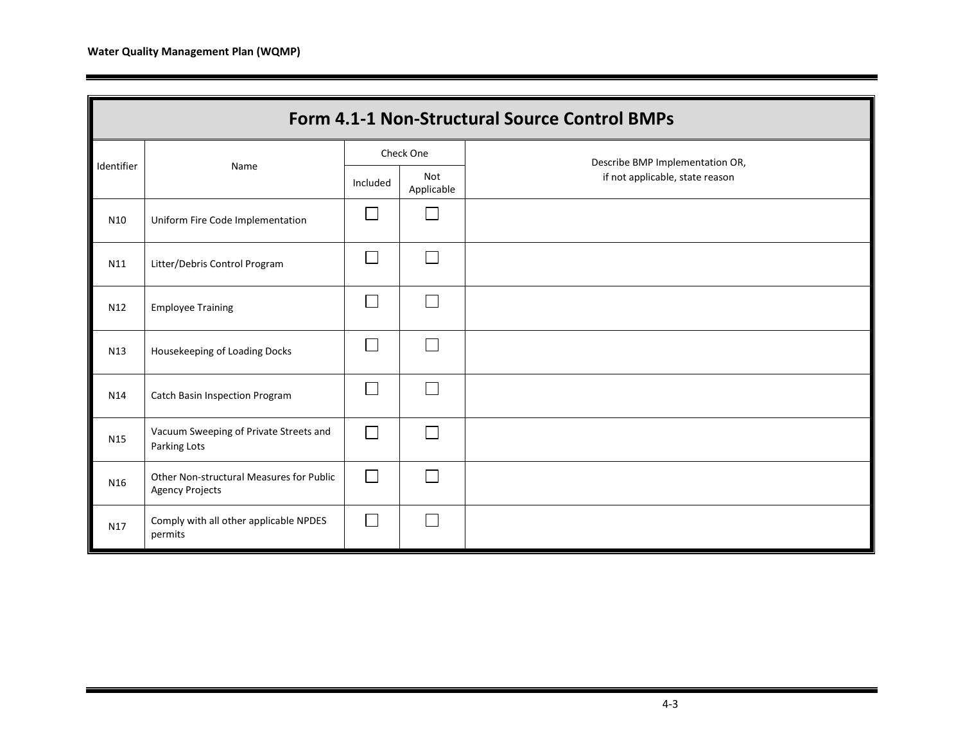|                 | Form 4.1-1 Non-Structural Source Control BMPs                      |           |                          |                                 |  |  |  |  |  |
|-----------------|--------------------------------------------------------------------|-----------|--------------------------|---------------------------------|--|--|--|--|--|
|                 |                                                                    | Check One |                          | Describe BMP Implementation OR, |  |  |  |  |  |
| Identifier      | Name                                                               | Included  | <b>Not</b><br>Applicable | if not applicable, state reason |  |  |  |  |  |
| N10             | Uniform Fire Code Implementation                                   |           | L.                       |                                 |  |  |  |  |  |
| N11             | Litter/Debris Control Program                                      | Г         | $\Box$                   |                                 |  |  |  |  |  |
| N <sub>12</sub> | <b>Employee Training</b>                                           |           | L.                       |                                 |  |  |  |  |  |
| N13             | Housekeeping of Loading Docks                                      | Г         | Г                        |                                 |  |  |  |  |  |
| N14             | <b>Catch Basin Inspection Program</b>                              | $\Box$    | Г                        |                                 |  |  |  |  |  |
| N15             | Vacuum Sweeping of Private Streets and<br>Parking Lots             | Г         | $\mathbb{R}$             |                                 |  |  |  |  |  |
| N16             | Other Non-structural Measures for Public<br><b>Agency Projects</b> | Г         | $\mathbf{L}$             |                                 |  |  |  |  |  |
| N17             | Comply with all other applicable NPDES<br>permits                  | Г         | I.                       |                                 |  |  |  |  |  |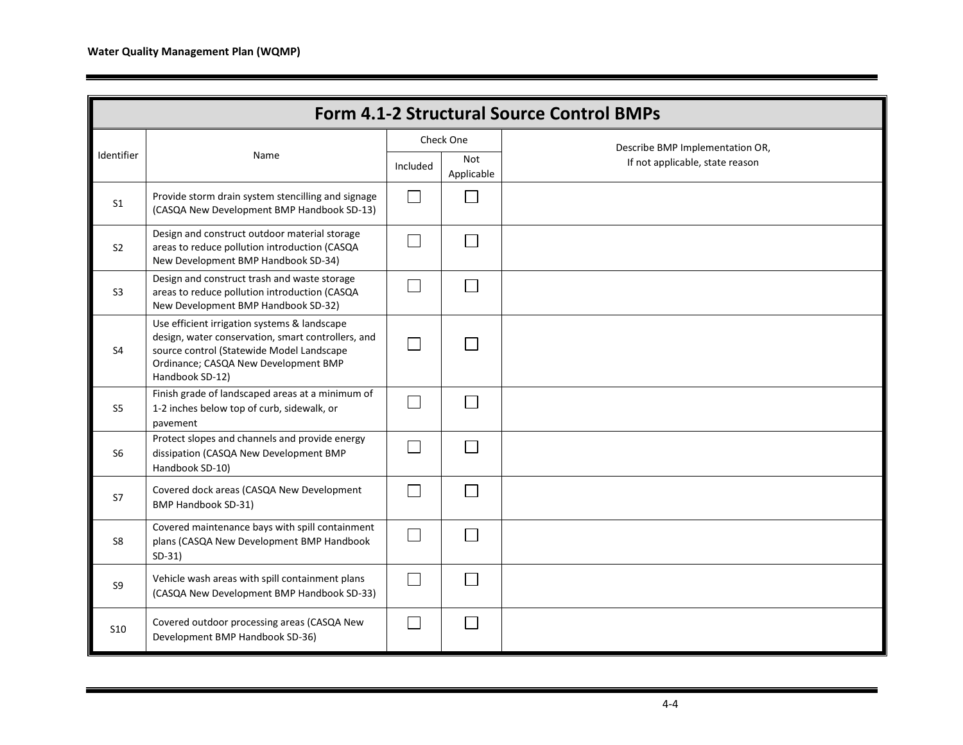|                 | Form 4.1-2 Structural Source Control BMPs                                                                                                                                                                  |                             |                              |                                 |  |  |  |  |
|-----------------|------------------------------------------------------------------------------------------------------------------------------------------------------------------------------------------------------------|-----------------------------|------------------------------|---------------------------------|--|--|--|--|
|                 |                                                                                                                                                                                                            | Check One                   |                              | Describe BMP Implementation OR, |  |  |  |  |
| Identifier      | Name                                                                                                                                                                                                       |                             | Not<br>Applicable            | If not applicable, state reason |  |  |  |  |
| S <sub>1</sub>  | Provide storm drain system stencilling and signage<br>(CASQA New Development BMP Handbook SD-13)                                                                                                           | П                           | $\sim$                       |                                 |  |  |  |  |
| S <sub>2</sub>  | Design and construct outdoor material storage<br>areas to reduce pollution introduction (CASQA<br>New Development BMP Handbook SD-34)                                                                      | $\Box$                      |                              |                                 |  |  |  |  |
| S <sub>3</sub>  | Design and construct trash and waste storage<br>areas to reduce pollution introduction (CASQA<br>New Development BMP Handbook SD-32)                                                                       | $\mathcal{L}_{\mathcal{A}}$ |                              |                                 |  |  |  |  |
| S <sub>4</sub>  | Use efficient irrigation systems & landscape<br>design, water conservation, smart controllers, and<br>source control (Statewide Model Landscape<br>Ordinance; CASQA New Development BMP<br>Handbook SD-12) | $\Box$                      | $\mathcal{L}^{\mathcal{L}}$  |                                 |  |  |  |  |
| S5              | Finish grade of landscaped areas at a minimum of<br>1-2 inches below top of curb, sidewalk, or<br>pavement                                                                                                 | $\Box$                      |                              |                                 |  |  |  |  |
| S6              | Protect slopes and channels and provide energy<br>dissipation (CASQA New Development BMP<br>Handbook SD-10)                                                                                                | $\mathbb{R}^n$              | $\sim$                       |                                 |  |  |  |  |
| S7              | Covered dock areas (CASQA New Development<br><b>BMP Handbook SD-31)</b>                                                                                                                                    | $\Box$                      | $\mathbb{R}^n$               |                                 |  |  |  |  |
| S8              | Covered maintenance bays with spill containment<br>plans (CASQA New Development BMP Handbook<br>$SD-31)$                                                                                                   | $\Box$                      | $\vert \hspace{.06cm} \vert$ |                                 |  |  |  |  |
| S9              | Vehicle wash areas with spill containment plans<br>(CASQA New Development BMP Handbook SD-33)                                                                                                              | $\Box$                      |                              |                                 |  |  |  |  |
| S <sub>10</sub> | Covered outdoor processing areas (CASQA New<br>Development BMP Handbook SD-36)                                                                                                                             | l.                          |                              |                                 |  |  |  |  |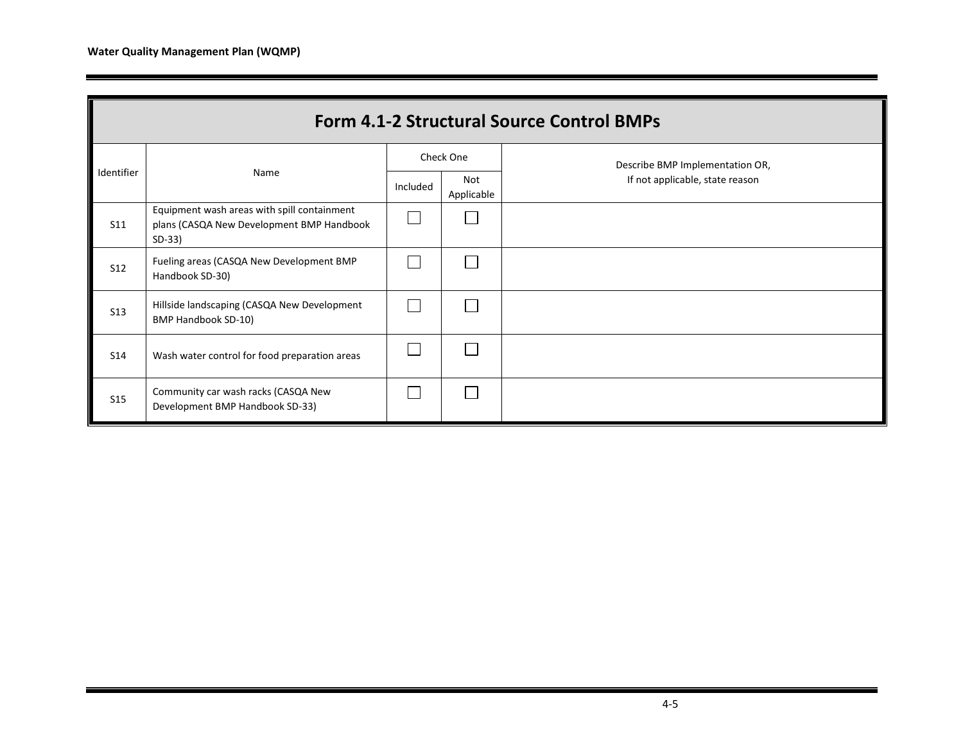| <b>Form 4.1-2 Structural Source Control BMPs</b> |                                                                                                      |          |                   |                                 |  |  |  |  |
|--------------------------------------------------|------------------------------------------------------------------------------------------------------|----------|-------------------|---------------------------------|--|--|--|--|
|                                                  |                                                                                                      |          | Check One         | Describe BMP Implementation OR, |  |  |  |  |
| Identifier                                       | Name                                                                                                 | Included | Not<br>Applicable | If not applicable, state reason |  |  |  |  |
| <b>S11</b>                                       | Equipment wash areas with spill containment<br>plans (CASQA New Development BMP Handbook<br>$SD-33)$ |          |                   |                                 |  |  |  |  |
| <b>S12</b>                                       | Fueling areas (CASQA New Development BMP<br>Handbook SD-30)                                          |          |                   |                                 |  |  |  |  |
| <b>S13</b>                                       | Hillside landscaping (CASQA New Development<br>BMP Handbook SD-10)                                   |          |                   |                                 |  |  |  |  |
| <b>S14</b>                                       | Wash water control for food preparation areas                                                        |          |                   |                                 |  |  |  |  |
| <b>S15</b>                                       | Community car wash racks (CASQA New<br>Development BMP Handbook SD-33)                               |          |                   |                                 |  |  |  |  |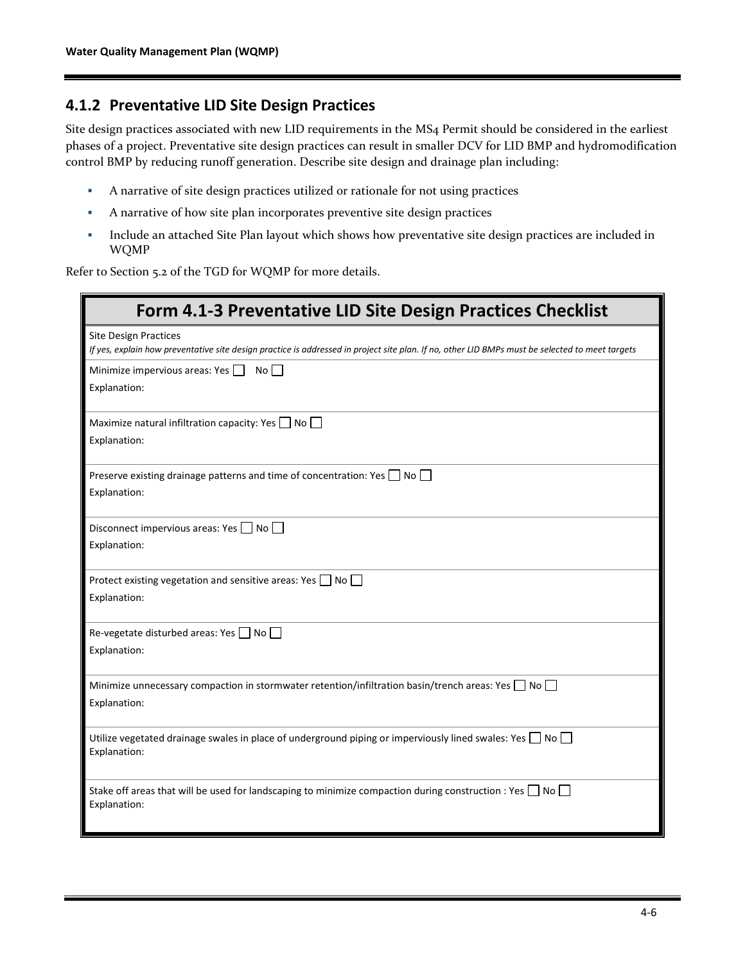#### **4.1.2 Preventative LID Site Design Practices**

Site design practices associated with new LID requirements in the MS4 Permit should be considered in the earliest phases of a project. Preventative site design practices can result in smaller DCV for LID BMP and hydromodification control BMP by reducing runoff generation. Describe site design and drainage plan including:

- A narrative of site design practices utilized or rationale for not using practices
- A narrative of how site plan incorporates preventive site design practices
- **•** Include an attached Site Plan layout which shows how preventative site design practices are included in WQMP

Refer to Section 5.2 of the TGD for WQMP for more details.

| Form 4.1-3 Preventative LID Site Design Practices Checklist                                                                                                                     |
|---------------------------------------------------------------------------------------------------------------------------------------------------------------------------------|
| <b>Site Design Practices</b><br>If yes, explain how preventative site design practice is addressed in project site plan. If no, other LID BMPs must be selected to meet targets |
| Minimize impervious areas: Yes<br>Noll<br>Explanation:                                                                                                                          |
| Maximize natural infiltration capacity: Yes $\Box$ No $\Box$<br>Explanation:                                                                                                    |
| Preserve existing drainage patterns and time of concentration: Yes $\Box$ No $\Box$<br>Explanation:                                                                             |
| Disconnect impervious areas: Yes $\Box$ No $\Box$<br>Explanation:                                                                                                               |
| Protect existing vegetation and sensitive areas: Yes $\Box$ No $\Box$<br>Explanation:                                                                                           |
| Re-vegetate disturbed areas: Yes $\Box$ No $\Box$<br>Explanation:                                                                                                               |
| Minimize unnecessary compaction in stormwater retention/infiltration basin/trench areas: Yes $\Box$ No $\Box$<br>Explanation:                                                   |
| Utilize vegetated drainage swales in place of underground piping or imperviously lined swales: Yes $\Box$ No $\Box$<br>Explanation:                                             |
| Stake off areas that will be used for landscaping to minimize compaction during construction : Yes $\Box$ No $\Box$<br>Explanation:                                             |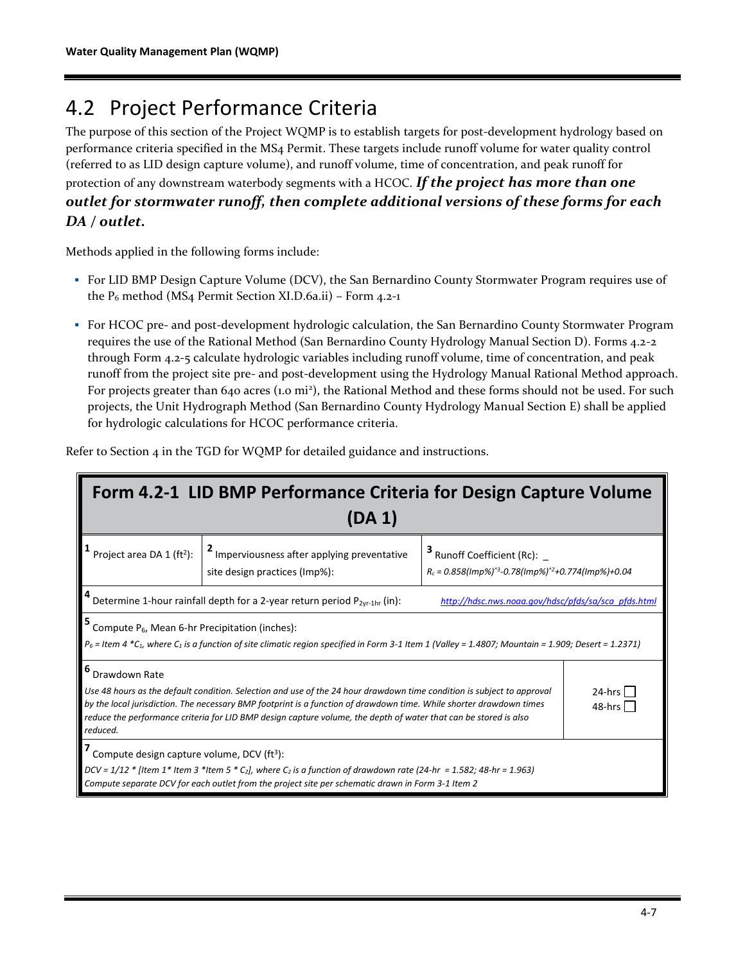## 4.2 Project Performance Criteria

The purpose of this section of the Project WQMP is to establish targets for post-development hydrology based on performance criteria specified in the MS4 Permit. These targets include runoff volume for water quality control (referred to as LID design capture volume), and runoff volume, time of concentration, and peak runoff for protection of any downstream waterbody segments with a HCOC. *If the project has more than one outlet for stormwater runoff, then complete additional versions of these forms for each DA / outlet.*

Methods applied in the following forms include:

- For LID BMP Design Capture Volume (DCV), the San Bernardino County Stormwater Program requires use of the P<sup>6</sup> method (MS4 Permit Section XI.D.6a.ii) – Form 4.2-1
- For HCOC pre- and post-development hydrologic calculation, the San Bernardino County Stormwater Program requires the use of the Rational Method (San Bernardino County Hydrology Manual Section D). Forms 4.2-2 through Form 4.2-5 calculate hydrologic variables including runoff volume, time of concentration, and peak runoff from the project site pre- and post-development using the Hydrology Manual Rational Method approach. For projects greater than 640 acres (1.0 mi<sup>2</sup>), the Rational Method and these forms should not be used. For such projects, the Unit Hydrograph Method (San Bernardino County Hydrology Manual Section E) shall be applied for hydrologic calculations for HCOC performance criteria.

| Form 4.2-1 LID BMP Performance Criteria for Design Capture Volume<br>$(DA_1)$                                                                                                                                                                                                                                                                                                                                                     |                                                                                                                                                                                                                                                    |                                                                                                                    |  |  |  |  |  |
|-----------------------------------------------------------------------------------------------------------------------------------------------------------------------------------------------------------------------------------------------------------------------------------------------------------------------------------------------------------------------------------------------------------------------------------|----------------------------------------------------------------------------------------------------------------------------------------------------------------------------------------------------------------------------------------------------|--------------------------------------------------------------------------------------------------------------------|--|--|--|--|--|
| Project area DA 1 (ft <sup>2</sup> ):                                                                                                                                                                                                                                                                                                                                                                                             | <sup>2</sup> Imperviousness after applying preventative<br>site design practices (Imp%):                                                                                                                                                           | $3$ Runoff Coefficient (Rc): $-$<br>$R_c = 0.858$ (Imp%) <sup>^3</sup> -0.78(Imp%) <sup>^2</sup> +0.774(Imp%)+0.04 |  |  |  |  |  |
|                                                                                                                                                                                                                                                                                                                                                                                                                                   | Determine 1-hour rainfall depth for a 2-year return period $P_{2vr-1hr}$ (in):                                                                                                                                                                     | http://hdsc.nws.noaa.gov/hdsc/pfds/sa/sca_pfds.html                                                                |  |  |  |  |  |
| Compute $P_6$ , Mean 6-hr Precipitation (inches):                                                                                                                                                                                                                                                                                                                                                                                 | $P_6$ = Item 4 *C <sub>1</sub> , where C <sub>1</sub> is a function of site climatic region specified in Form 3-1 Item 1 (Valley = 1.4807; Mountain = 1.909; Desert = 1.2371)                                                                      |                                                                                                                    |  |  |  |  |  |
| Drawdown Rate<br>Use 48 hours as the default condition. Selection and use of the 24 hour drawdown time condition is subject to approval<br>$24-hrs$<br>by the local jurisdiction. The necessary BMP footprint is a function of drawdown time. While shorter drawdown times<br>48-hrs <sup>1</sup><br>reduce the performance criteria for LID BMP design capture volume, the depth of water that can be stored is also<br>reduced. |                                                                                                                                                                                                                                                    |                                                                                                                    |  |  |  |  |  |
| Compute design capture volume, DCV (ft <sup>3</sup> ):                                                                                                                                                                                                                                                                                                                                                                            | DCV = $1/12$ * [Item 1* Item 3 *Item 5 * C <sub>2</sub> ], where C <sub>2</sub> is a function of drawdown rate (24-hr = 1.582; 48-hr = 1.963)<br>Compute separate DCV for each outlet from the project site per schematic drawn in Form 3-1 Item 2 |                                                                                                                    |  |  |  |  |  |

Refer to Section 4 in the TGD for WQMP for detailed guidance and instructions.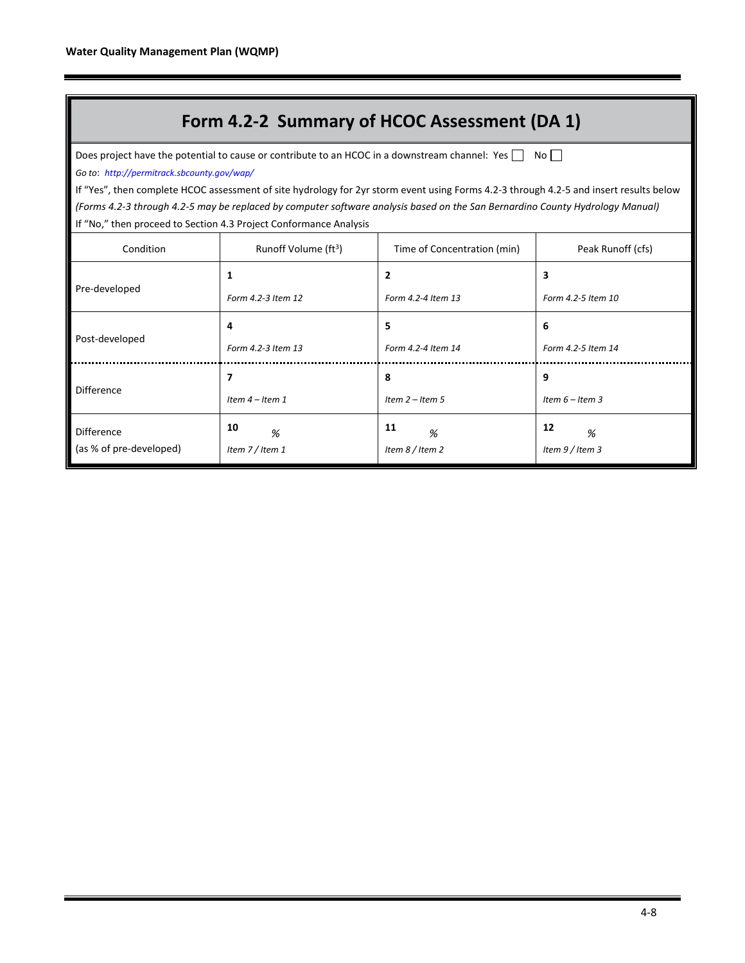### **Form 4.2-2 Summary of HCOC Assessment (DA 1)**

Does project have the potential to cause or contribute to an HCOC in a downstream channel: Yes  $\Box$  No  $\Box$ *Go to*: *http://permitrack.sbcounty.gov/wap/*

If "Yes", then complete HCOC assessment of site hydrology for 2yr storm event using Forms 4.2-3 through 4.2-5 and insert results below *(Forms 4.2-3 through 4.2-5 may be replaced by computer software analysis based on the San Bernardino County Hydrology Manual)* If "No," then proceed to Section 4.3 Project Conformance Analysis

| Condition               | Runoff Volume (ft <sup>3</sup> ) | Time of Concentration (min) | Peak Runoff (cfs)  |  |
|-------------------------|----------------------------------|-----------------------------|--------------------|--|
| Pre-developed           | 1                                | $\overline{\mathbf{c}}$     | 3                  |  |
|                         | Form 4.2-3 Item 12               | Form 4.2-4 Item 13          | Form 4.2-5 Item 10 |  |
|                         | 4                                | 5                           | 6                  |  |
| Post-developed          | Form 4.2-3 Item 13               | Form 4.2-4 Item 14          | Form 4.2-5 Item 14 |  |
|                         | 7                                | 8                           | 9                  |  |
| Difference              | Item $4$ – Item 1                | Item $2 -$ Item 5           | Item $6$ – Item 3  |  |
| <b>Difference</b>       | 10<br>%                          | 11<br>%                     | 12<br>%            |  |
| (as % of pre-developed) | Item $7/$ Item 1                 | Item 8 / Item 2             | Item $9/$ Item 3   |  |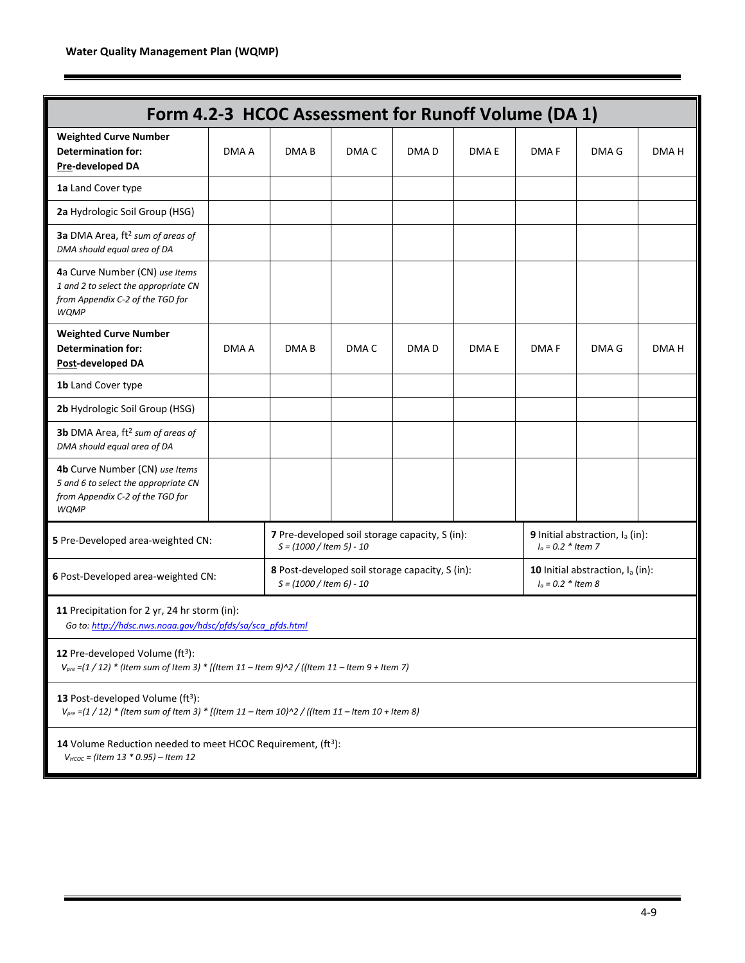| Form 4.2-3 HCOC Assessment for Runoff Volume (DA 1)                                                                                                 |       |                             |       |                                                 |                                                                      |                      |                                             |       |
|-----------------------------------------------------------------------------------------------------------------------------------------------------|-------|-----------------------------|-------|-------------------------------------------------|----------------------------------------------------------------------|----------------------|---------------------------------------------|-------|
| <b>Weighted Curve Number</b><br><b>Determination for:</b><br>Pre-developed DA                                                                       | DMA A | DMA <sub>B</sub>            | DMA C | DMA <sub>D</sub>                                | DMA E                                                                | <b>DMAF</b>          | DMA G                                       | DMA H |
| 1a Land Cover type                                                                                                                                  |       |                             |       |                                                 |                                                                      |                      |                                             |       |
| 2a Hydrologic Soil Group (HSG)                                                                                                                      |       |                             |       |                                                 |                                                                      |                      |                                             |       |
| 3a DMA Area, ft <sup>2</sup> sum of areas of<br>DMA should equal area of DA                                                                         |       |                             |       |                                                 |                                                                      |                      |                                             |       |
| 4a Curve Number (CN) use Items<br>1 and 2 to select the appropriate CN<br>from Appendix C-2 of the TGD for<br><b>WQMP</b>                           |       |                             |       |                                                 |                                                                      |                      |                                             |       |
| <b>Weighted Curve Number</b><br><b>Determination for:</b><br>Post-developed DA                                                                      | DMA A | DMA B                       | DMA C | DMA D                                           | DMA E                                                                | DMA F                | DMA G                                       | DMA H |
| 1b Land Cover type                                                                                                                                  |       |                             |       |                                                 |                                                                      |                      |                                             |       |
| 2b Hydrologic Soil Group (HSG)                                                                                                                      |       |                             |       |                                                 |                                                                      |                      |                                             |       |
| 3b DMA Area, ft <sup>2</sup> sum of areas of<br>DMA should equal area of DA                                                                         |       |                             |       |                                                 |                                                                      |                      |                                             |       |
| 4b Curve Number (CN) use Items<br>5 and 6 to select the appropriate CN<br>from Appendix C-2 of the TGD for<br><b>WQMP</b>                           |       |                             |       |                                                 |                                                                      |                      |                                             |       |
| 5 Pre-Developed area-weighted CN:                                                                                                                   |       | $S = (1000 / 1$ tem 5) - 10 |       | 7 Pre-developed soil storage capacity, S (in):  |                                                                      | $I_a = 0.2 * Item 7$ | 9 Initial abstraction, I <sub>a</sub> (in): |       |
| 6 Post-Developed area-weighted CN:                                                                                                                  |       | $S = (1000 / 1$ tem 6) - 10 |       | 8 Post-developed soil storage capacity, S (in): | 10 Initial abstraction, I <sub>a</sub> (in):<br>$I_0 = 0.2 *$ Item 8 |                      |                                             |       |
| 11 Precipitation for 2 yr, 24 hr storm (in):<br>Go to: http://hdsc.nws.noaa.gov/hdsc/pfds/sa/sca_pfds.html                                          |       |                             |       |                                                 |                                                                      |                      |                                             |       |
| 12 Pre-developed Volume (ft <sup>3</sup> ):<br>$V_{pre}$ =(1 / 12) * (Item sum of Item 3) * [(Item 11 – Item 9)^2 / ((Item 11 – Item 9 + Item 7)    |       |                             |       |                                                 |                                                                      |                      |                                             |       |
| 13 Post-developed Volume (ft <sup>3</sup> ):<br>$V_{pre}$ =(1 / 12) * (Item sum of Item 3) * [(Item 11 – Item 10)^2 / ((Item 11 – Item 10 + Item 8) |       |                             |       |                                                 |                                                                      |                      |                                             |       |
| 14 Volume Reduction needed to meet HCOC Requirement, (ft <sup>3</sup> ):<br>$V_{HCOC}$ = (Item 13 $*$ 0.95) – Item 12                               |       |                             |       |                                                 |                                                                      |                      |                                             |       |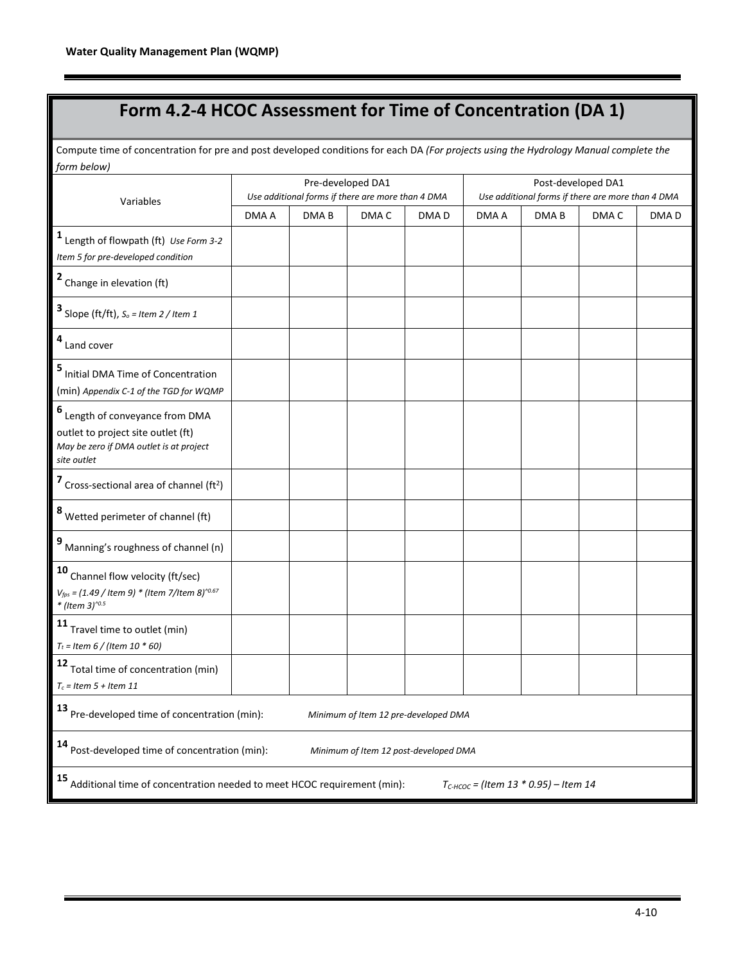## **Form 4.2-4 HCOC Assessment for Time of Concentration (DA 1)**

Compute time of concentration for pre and post developed conditions for each DA *(For projects using the Hydrology Manual complete the form below)*

| Variables                                                                                                                         |                                                                                                                                |                  | Pre-developed DA1<br>Use additional forms if there are more than 4 DMA |                  | Post-developed DA1<br>Use additional forms if there are more than 4 DMA |                  |                  |                  |
|-----------------------------------------------------------------------------------------------------------------------------------|--------------------------------------------------------------------------------------------------------------------------------|------------------|------------------------------------------------------------------------|------------------|-------------------------------------------------------------------------|------------------|------------------|------------------|
|                                                                                                                                   | DMA A                                                                                                                          | DMA <sub>B</sub> | DMA <sub>C</sub>                                                       | DMA <sub>D</sub> | DMA A                                                                   | DMA <sub>B</sub> | DMA <sub>C</sub> | DMA <sub>D</sub> |
| $1$ Length of flowpath (ft) Use Form 3-2<br>Item 5 for pre-developed condition                                                    |                                                                                                                                |                  |                                                                        |                  |                                                                         |                  |                  |                  |
| 2 Change in elevation (ft)                                                                                                        |                                                                                                                                |                  |                                                                        |                  |                                                                         |                  |                  |                  |
| <b>3</b> Slope (ft/ft), $S_o$ = Item 2 / Item 1                                                                                   |                                                                                                                                |                  |                                                                        |                  |                                                                         |                  |                  |                  |
| $4$ Land cover                                                                                                                    |                                                                                                                                |                  |                                                                        |                  |                                                                         |                  |                  |                  |
| 5 Initial DMA Time of Concentration<br>(min) Appendix C-1 of the TGD for WQMP                                                     |                                                                                                                                |                  |                                                                        |                  |                                                                         |                  |                  |                  |
| 6 Length of conveyance from DMA<br>outlet to project site outlet (ft)<br>May be zero if DMA outlet is at project<br>site outlet   |                                                                                                                                |                  |                                                                        |                  |                                                                         |                  |                  |                  |
| 7 Cross-sectional area of channel (ft <sup>2</sup> )                                                                              |                                                                                                                                |                  |                                                                        |                  |                                                                         |                  |                  |                  |
| 8 Wetted perimeter of channel (ft)                                                                                                |                                                                                                                                |                  |                                                                        |                  |                                                                         |                  |                  |                  |
| 9 Manning's roughness of channel (n)                                                                                              |                                                                                                                                |                  |                                                                        |                  |                                                                         |                  |                  |                  |
| 10 Channel flow velocity (ft/sec)<br>$V_{fps} = (1.49 /$ Item 9) * (Item 7/Item 8) <sup>^0.67</sup><br>* (Item 3) <sup>^0.5</sup> |                                                                                                                                |                  |                                                                        |                  |                                                                         |                  |                  |                  |
| 11<br>Travel time to outlet (min)<br>$T_t =$ Item 6 / (Item 10 $*$ 60)                                                            |                                                                                                                                |                  |                                                                        |                  |                                                                         |                  |                  |                  |
| 12 Total time of concentration (min)<br>$T_c$ = Item 5 + Item 11                                                                  |                                                                                                                                |                  |                                                                        |                  |                                                                         |                  |                  |                  |
| 13 Pre-developed time of concentration (min):<br>Minimum of Item 12 pre-developed DMA                                             |                                                                                                                                |                  |                                                                        |                  |                                                                         |                  |                  |                  |
| 14 Post-developed time of concentration (min):<br>Minimum of Item 12 post-developed DMA                                           |                                                                                                                                |                  |                                                                        |                  |                                                                         |                  |                  |                  |
|                                                                                                                                   | 15 Additional time of concentration needed to meet HCOC requirement (min):<br>$T_{C\text{-HCOC}}$ = (Item 13 * 0.95) – Item 14 |                  |                                                                        |                  |                                                                         |                  |                  |                  |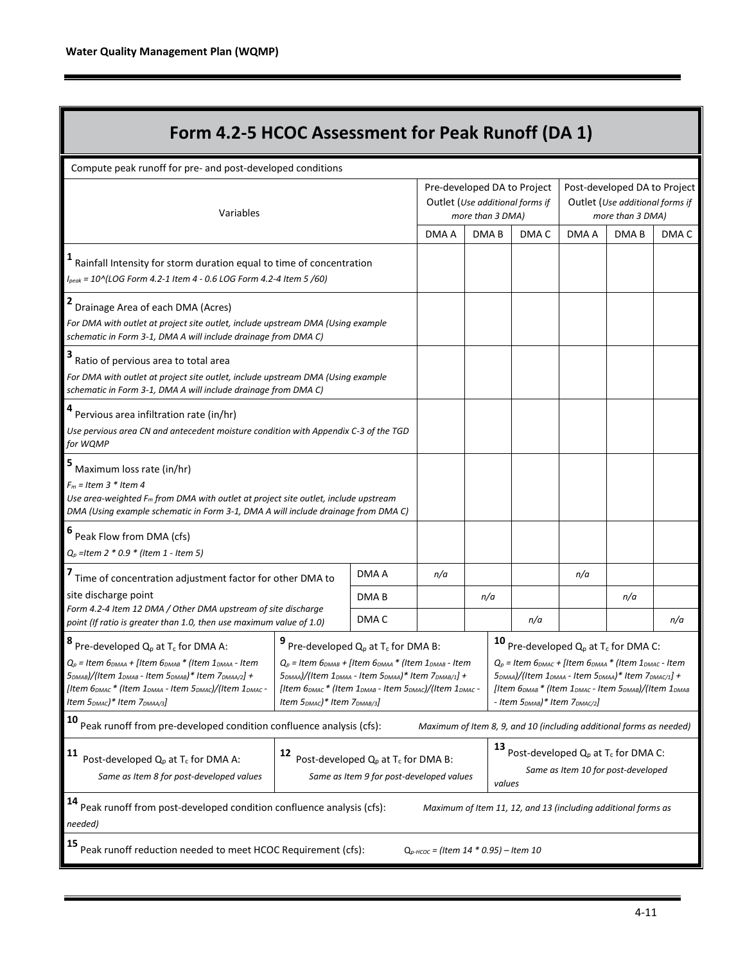| Form 4.2-5 HCOC Assessment for Peak Runoff (DA 1)                                                                                                                                                                                                                                                                                                                                     |                                                                                                                                                                                                                                                                                                                                                                                       |                  |                                                    |                  |                                                                                                                                                                                                                                                                                                                                                                                                                          |       |                                                                                     |                                                                     |       |
|---------------------------------------------------------------------------------------------------------------------------------------------------------------------------------------------------------------------------------------------------------------------------------------------------------------------------------------------------------------------------------------|---------------------------------------------------------------------------------------------------------------------------------------------------------------------------------------------------------------------------------------------------------------------------------------------------------------------------------------------------------------------------------------|------------------|----------------------------------------------------|------------------|--------------------------------------------------------------------------------------------------------------------------------------------------------------------------------------------------------------------------------------------------------------------------------------------------------------------------------------------------------------------------------------------------------------------------|-------|-------------------------------------------------------------------------------------|---------------------------------------------------------------------|-------|
| Compute peak runoff for pre- and post-developed conditions                                                                                                                                                                                                                                                                                                                            |                                                                                                                                                                                                                                                                                                                                                                                       |                  |                                                    |                  |                                                                                                                                                                                                                                                                                                                                                                                                                          |       |                                                                                     |                                                                     |       |
| Variables                                                                                                                                                                                                                                                                                                                                                                             |                                                                                                                                                                                                                                                                                                                                                                                       |                  |                                                    |                  | Pre-developed DA to Project<br>Outlet (Use additional forms if<br>more than 3 DMA)                                                                                                                                                                                                                                                                                                                                       |       | Post-developed DA to Project<br>Outlet (Use additional forms if<br>more than 3 DMA) |                                                                     |       |
|                                                                                                                                                                                                                                                                                                                                                                                       |                                                                                                                                                                                                                                                                                                                                                                                       |                  | DMA A                                              | DMA <sub>B</sub> |                                                                                                                                                                                                                                                                                                                                                                                                                          | DMA C | DMA A                                                                               | DMA <sub>B</sub>                                                    | DMA C |
| Rainfall Intensity for storm duration equal to time of concentration<br>I <sub>peak</sub> = 10^(LOG Form 4.2-1 Item 4 - 0.6 LOG Form 4.2-4 Item 5 /60)                                                                                                                                                                                                                                |                                                                                                                                                                                                                                                                                                                                                                                       |                  |                                                    |                  |                                                                                                                                                                                                                                                                                                                                                                                                                          |       |                                                                                     |                                                                     |       |
| Drainage Area of each DMA (Acres)<br>For DMA with outlet at project site outlet, include upstream DMA (Using example<br>schematic in Form 3-1, DMA A will include drainage from DMA C)                                                                                                                                                                                                |                                                                                                                                                                                                                                                                                                                                                                                       |                  |                                                    |                  |                                                                                                                                                                                                                                                                                                                                                                                                                          |       |                                                                                     |                                                                     |       |
| Ratio of pervious area to total area<br>For DMA with outlet at project site outlet, include upstream DMA (Using example<br>schematic in Form 3-1, DMA A will include drainage from DMA C)                                                                                                                                                                                             |                                                                                                                                                                                                                                                                                                                                                                                       |                  |                                                    |                  |                                                                                                                                                                                                                                                                                                                                                                                                                          |       |                                                                                     |                                                                     |       |
| Pervious area infiltration rate (in/hr)<br>Use pervious area CN and antecedent moisture condition with Appendix C-3 of the TGD<br>for WQMP                                                                                                                                                                                                                                            |                                                                                                                                                                                                                                                                                                                                                                                       |                  |                                                    |                  |                                                                                                                                                                                                                                                                                                                                                                                                                          |       |                                                                                     |                                                                     |       |
| Maximum loss rate (in/hr)<br>$F_m$ = Item 3 * Item 4<br>Use area-weighted $F_m$ from DMA with outlet at project site outlet, include upstream<br>DMA (Using example schematic in Form 3-1, DMA A will include drainage from DMA C)                                                                                                                                                    |                                                                                                                                                                                                                                                                                                                                                                                       |                  |                                                    |                  |                                                                                                                                                                                                                                                                                                                                                                                                                          |       |                                                                                     |                                                                     |       |
| Peak Flow from DMA (cfs)<br>$Q_p$ = Item 2 $*$ 0.9 $*$ (Item 1 - Item 5)                                                                                                                                                                                                                                                                                                              |                                                                                                                                                                                                                                                                                                                                                                                       |                  |                                                    |                  |                                                                                                                                                                                                                                                                                                                                                                                                                          |       |                                                                                     |                                                                     |       |
| Time of concentration adjustment factor for other DMA to                                                                                                                                                                                                                                                                                                                              |                                                                                                                                                                                                                                                                                                                                                                                       | DMA A            | n/a                                                |                  |                                                                                                                                                                                                                                                                                                                                                                                                                          |       | n/a                                                                                 |                                                                     |       |
| site discharge point                                                                                                                                                                                                                                                                                                                                                                  |                                                                                                                                                                                                                                                                                                                                                                                       | DMA <sub>B</sub> |                                                    | n/a              |                                                                                                                                                                                                                                                                                                                                                                                                                          |       |                                                                                     | n/a                                                                 |       |
| Form 4.2-4 Item 12 DMA / Other DMA upstream of site discharge<br>point (If ratio is greater than 1.0, then use maximum value of 1.0)                                                                                                                                                                                                                                                  |                                                                                                                                                                                                                                                                                                                                                                                       | DMA C            |                                                    |                  |                                                                                                                                                                                                                                                                                                                                                                                                                          | n/a   |                                                                                     |                                                                     | n/a   |
| Pre-developed $Q_p$ at $T_c$ for DMA A:<br>$Q_p$ = Item $6_{DMAA}$ + [Item $6_{DMAB}$ * (Item $1_{DMAA}$ - Item<br>5 <sub>DMAB</sub> )/(Item 1 <sub>DMAB</sub> - Item 5 <sub>DMAB</sub> )* Item 7 <sub>DMAA/2</sub> ] +<br>[Item 6 <sub>DMAC</sub> * (Item 1 <sub>DMAA</sub> - Item 5 <sub>DMAC</sub> )/(Item 1 <sub>DMAC</sub> -<br>Item $5_{DMAC}$ <sup>*</sup> Item $7_{DMAA/3}$ ] | Pre-developed $Q_p$ at $T_c$ for DMA B:<br>$Q_p$ = Item $6_{DMAB}$ + [Item $6_{DMAA}$ * (Item $1_{DMAB}$ - Item<br>5 <sub>DMAA</sub> )/(Item 1 <sub>DMAA</sub> - Item 5 <sub>DMAA</sub> )* Item 7 <sub>DMAB/1</sub> ] +<br>[Item 6 <sub>DMAC</sub> * (Item 1 <sub>DMAB</sub> - Item 5 <sub>DMAC</sub> )/(Item 1 <sub>DMAC</sub> -<br>Item $5_{DMAC}$ <sup>*</sup> Item $7_{DMAB/3}$ ] |                  |                                                    |                  | <b>10</b> Pre-developed $Q_p$ at $T_c$ for DMA C:<br>$Q_p$ = Item 6 <sub>DMAC</sub> + [Item 6 <sub>DMAA</sub> * (Item 1 <sub>DMAC</sub> - Item<br>5 <sub>DMAA</sub> )/(Item 1 <sub>DMAA</sub> - Item 5 <sub>DMAA</sub> )* Item 7 <sub>DMAC/1</sub> ] +<br>[Item 6 <sub>DMAB</sub> * (Item 1 <sub>DMAC</sub> - Item 5 <sub>DMAB</sub> )/(Item 1 <sub>DMAB</sub><br>- Item 5 <sub>DMAB</sub> )* Item 7 <sub>DMAC/2</sub> ] |       |                                                                                     |                                                                     |       |
| 10<br>Peak runoff from pre-developed condition confluence analysis (cfs):                                                                                                                                                                                                                                                                                                             |                                                                                                                                                                                                                                                                                                                                                                                       |                  |                                                    |                  |                                                                                                                                                                                                                                                                                                                                                                                                                          |       |                                                                                     | Maximum of Item 8, 9, and 10 (including additional forms as needed) |       |
| 11<br>Post-developed $Q_p$ at $T_c$ for DMA A:<br>Same as Item 8 for post-developed values                                                                                                                                                                                                                                                                                            | 13<br>Post-developed Q <sub>p</sub> at T <sub>c</sub> for DMA C:<br>12<br>Post-developed $Q_p$ at $T_c$ for DMA B:<br>Same as Item 10 for post-developed<br>Same as Item 9 for post-developed values<br>values                                                                                                                                                                        |                  |                                                    |                  |                                                                                                                                                                                                                                                                                                                                                                                                                          |       |                                                                                     |                                                                     |       |
| 14<br>Peak runoff from post-developed condition confluence analysis (cfs):<br>needed)                                                                                                                                                                                                                                                                                                 |                                                                                                                                                                                                                                                                                                                                                                                       |                  |                                                    |                  |                                                                                                                                                                                                                                                                                                                                                                                                                          |       |                                                                                     | Maximum of Item 11, 12, and 13 (including additional forms as       |       |
| Peak runoff reduction needed to meet HCOC Requirement (cfs):                                                                                                                                                                                                                                                                                                                          |                                                                                                                                                                                                                                                                                                                                                                                       |                  | $Q_{p\text{-HCOC}} = (Item\ 14 * 0.95) - Item\ 10$ |                  |                                                                                                                                                                                                                                                                                                                                                                                                                          |       |                                                                                     |                                                                     |       |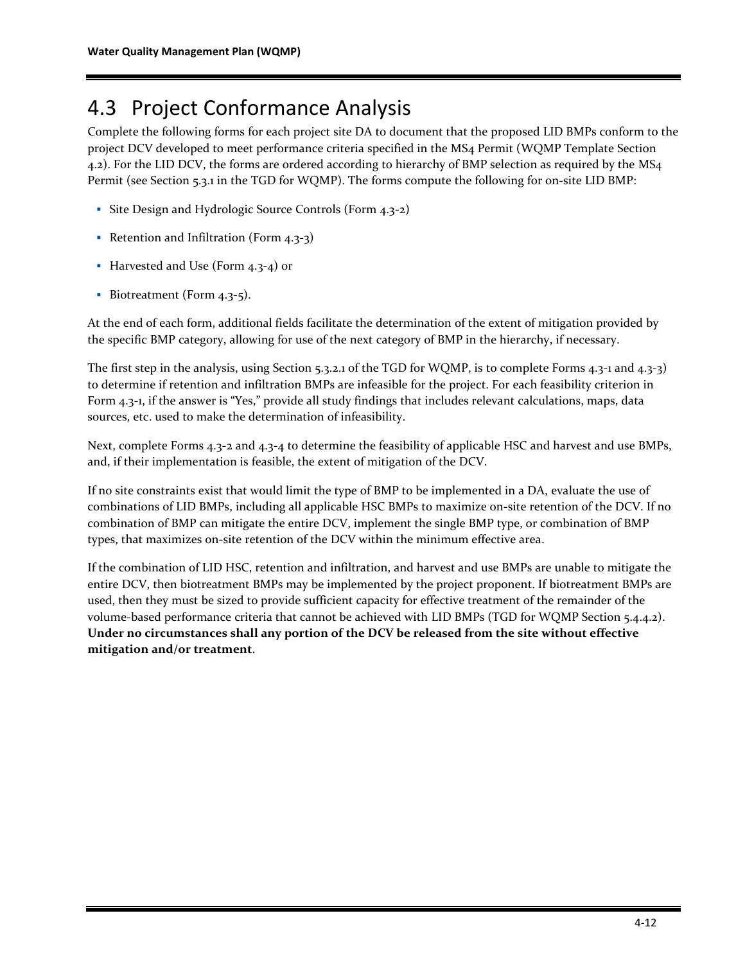## 4.3 Project Conformance Analysis

Complete the following forms for each project site DA to document that the proposed LID BMPs conform to the project DCV developed to meet performance criteria specified in the MS4 Permit (WQMP Template Section 4.2). For the LID DCV, the forms are ordered according to hierarchy of BMP selection as required by the MS4 Permit (see Section 5.3.1 in the TGD for WQMP). The forms compute the following for on-site LID BMP:

- Site Design and Hydrologic Source Controls (Form 4.3-2)
- Retention and Infiltration (Form 4.3-3)
- Harvested and Use (Form 4.3-4) or
- Biotreatment (Form 4.3-5).

At the end of each form, additional fields facilitate the determination of the extent of mitigation provided by the specific BMP category, allowing for use of the next category of BMP in the hierarchy, if necessary.

The first step in the analysis, using Section 5.3.2.1 of the TGD for WQMP, is to complete Forms 4.3-1 and 4.3-3) to determine if retention and infiltration BMPs are infeasible for the project. For each feasibility criterion in Form 4.3-1, if the answer is "Yes," provide all study findings that includes relevant calculations, maps, data sources, etc. used to make the determination of infeasibility.

Next, complete Forms 4.3-2 and 4.3-4 to determine the feasibility of applicable HSC and harvest and use BMPs, and, if their implementation is feasible, the extent of mitigation of the DCV.

If no site constraints exist that would limit the type of BMP to be implemented in a DA, evaluate the use of combinations of LID BMPs, including all applicable HSC BMPs to maximize on-site retention of the DCV. If no combination of BMP can mitigate the entire DCV, implement the single BMP type, or combination of BMP types, that maximizes on-site retention of the DCV within the minimum effective area.

If the combination of LID HSC, retention and infiltration, and harvest and use BMPs are unable to mitigate the entire DCV, then biotreatment BMPs may be implemented by the project proponent. If biotreatment BMPs are used, then they must be sized to provide sufficient capacity for effective treatment of the remainder of the volume-based performance criteria that cannot be achieved with LID BMPs (TGD for WQMP Section 5.4.4.2). **Under no circumstances shall any portion of the DCV be released from the site without effective mitigation and/or treatment**.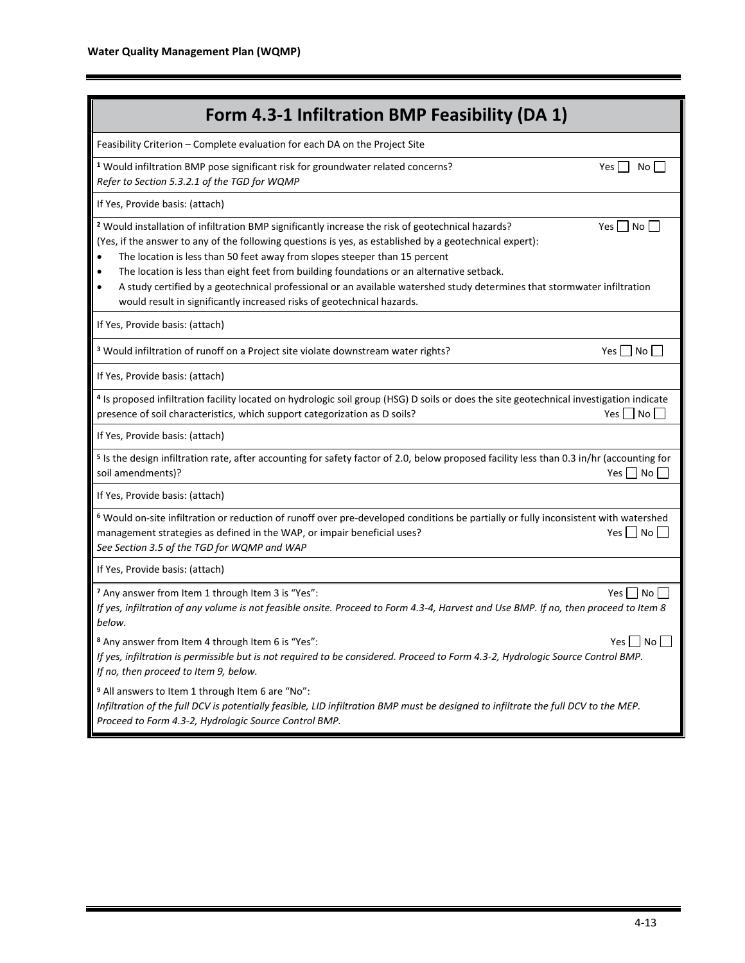| Form 4.3-1 Infiltration BMP Feasibility (DA 1)                                                                                                                                                                                                                                                                                                                                                                                                                                                                                                                                                           |                                          |
|----------------------------------------------------------------------------------------------------------------------------------------------------------------------------------------------------------------------------------------------------------------------------------------------------------------------------------------------------------------------------------------------------------------------------------------------------------------------------------------------------------------------------------------------------------------------------------------------------------|------------------------------------------|
| Feasibility Criterion - Complete evaluation for each DA on the Project Site                                                                                                                                                                                                                                                                                                                                                                                                                                                                                                                              |                                          |
| <sup>1</sup> Would infiltration BMP pose significant risk for groundwater related concerns?<br>Refer to Section 5.3.2.1 of the TGD for WQMP                                                                                                                                                                                                                                                                                                                                                                                                                                                              | Yes    <br>No l                          |
| If Yes, Provide basis: (attach)                                                                                                                                                                                                                                                                                                                                                                                                                                                                                                                                                                          |                                          |
| <sup>2</sup> Would installation of infiltration BMP significantly increase the risk of geotechnical hazards?<br>(Yes, if the answer to any of the following questions is yes, as established by a geotechnical expert):<br>The location is less than 50 feet away from slopes steeper than 15 percent<br>The location is less than eight feet from building foundations or an alternative setback.<br>A study certified by a geotechnical professional or an available watershed study determines that stormwater infiltration<br>would result in significantly increased risks of geotechnical hazards. | Yes     No                               |
| If Yes, Provide basis: (attach)                                                                                                                                                                                                                                                                                                                                                                                                                                                                                                                                                                          |                                          |
| <sup>3</sup> Would infiltration of runoff on a Project site violate downstream water rights?                                                                                                                                                                                                                                                                                                                                                                                                                                                                                                             | Yes $\neg$ No $\neg$                     |
| If Yes, Provide basis: (attach)                                                                                                                                                                                                                                                                                                                                                                                                                                                                                                                                                                          |                                          |
| 4 Is proposed infiltration facility located on hydrologic soil group (HSG) D soils or does the site geotechnical investigation indicate<br>presence of soil characteristics, which support categorization as D soils?                                                                                                                                                                                                                                                                                                                                                                                    | No<br>Yes                                |
| If Yes, Provide basis: (attach)                                                                                                                                                                                                                                                                                                                                                                                                                                                                                                                                                                          |                                          |
| <sup>5</sup> Is the design infiltration rate, after accounting for safety factor of 2.0, below proposed facility less than 0.3 in/hr (accounting for<br>soil amendments)?                                                                                                                                                                                                                                                                                                                                                                                                                                | Yes $\Box$ No $\Box$                     |
| If Yes, Provide basis: (attach)                                                                                                                                                                                                                                                                                                                                                                                                                                                                                                                                                                          |                                          |
| <sup>6</sup> Would on-site infiltration or reduction of runoff over pre-developed conditions be partially or fully inconsistent with watershed<br>management strategies as defined in the WAP, or impair beneficial uses?<br>See Section 3.5 of the TGD for WQMP and WAP                                                                                                                                                                                                                                                                                                                                 | $Yes \Box No \Box$                       |
| If Yes, Provide basis: (attach)                                                                                                                                                                                                                                                                                                                                                                                                                                                                                                                                                                          |                                          |
| <sup>7</sup> Any answer from Item 1 through Item 3 is "Yes":<br>If yes, infiltration of any volume is not feasible onsite. Proceed to Form 4.3-4, Harvest and Use BMP. If no, then proceed to Item 8<br>below.                                                                                                                                                                                                                                                                                                                                                                                           | Yes     No                               |
| <sup>8</sup> Any answer from Item 4 through Item 6 is "Yes":<br>If yes, infiltration is permissible but is not required to be considered. Proceed to Form 4.3-2, Hydrologic Source Control BMP.<br>If no, then proceed to Item 9, below.                                                                                                                                                                                                                                                                                                                                                                 | $Yes \nightharpoonup No \nightharpoonup$ |
| <sup>9</sup> All answers to Item 1 through Item 6 are "No":<br>Infiltration of the full DCV is potentially feasible, LID infiltration BMP must be designed to infiltrate the full DCV to the MEP.<br>Proceed to Form 4.3-2, Hydrologic Source Control BMP.                                                                                                                                                                                                                                                                                                                                               |                                          |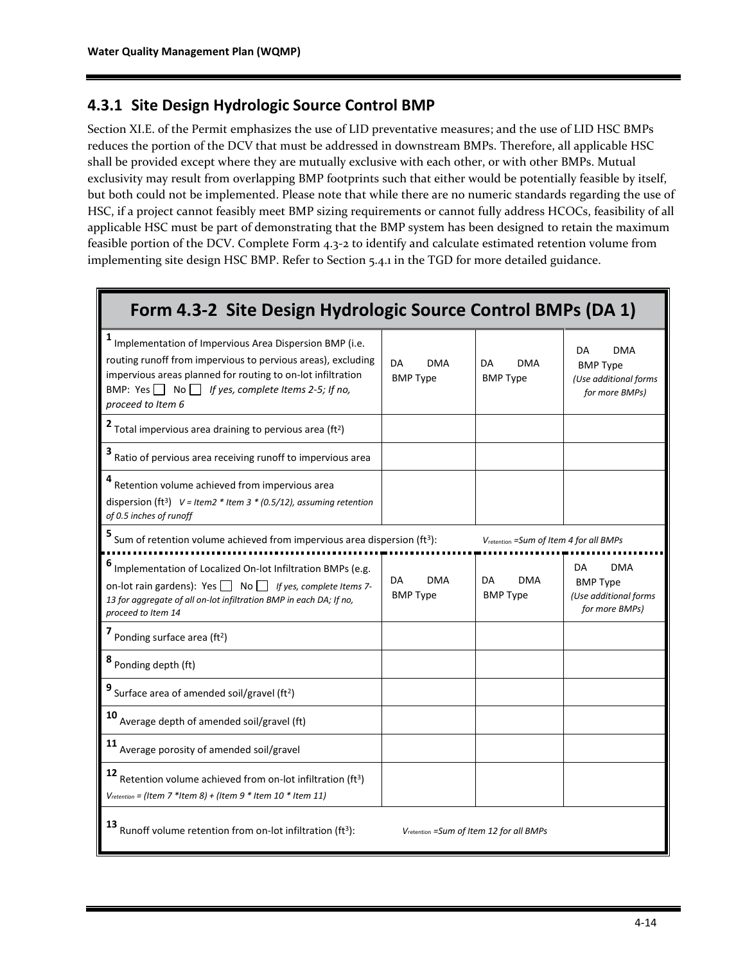### **4.3.1 Site Design Hydrologic Source Control BMP**

Section XI.E. of the Permit emphasizes the use of LID preventative measures; and the use of LID HSC BMPs reduces the portion of the DCV that must be addressed in downstream BMPs. Therefore, all applicable HSC shall be provided except where they are mutually exclusive with each other, or with other BMPs. Mutual exclusivity may result from overlapping BMP footprints such that either would be potentially feasible by itself, but both could not be implemented. Please note that while there are no numeric standards regarding the use of HSC, if a project cannot feasibly meet BMP sizing requirements or cannot fully address HCOCs, feasibility of all applicable HSC must be part of demonstrating that the BMP system has been designed to retain the maximum feasible portion of the DCV. Complete Form 4.3-2 to identify and calculate estimated retention volume from implementing site design HSC BMP. Refer to Section 5.4.1 in the TGD for more detailed guidance.

| Form 4.3-2 Site Design Hydrologic Source Control BMPs (DA 1)                                                                                                                                                                                                                    |                                     |                                                     |                                                                                |
|---------------------------------------------------------------------------------------------------------------------------------------------------------------------------------------------------------------------------------------------------------------------------------|-------------------------------------|-----------------------------------------------------|--------------------------------------------------------------------------------|
| 1<br>Implementation of Impervious Area Dispersion BMP (i.e.<br>routing runoff from impervious to pervious areas), excluding<br>impervious areas planned for routing to on-lot infiltration<br>BMP: Yes $\Box$ No $\Box$ If yes, complete Items 2-5; If no,<br>proceed to Item 6 | DA<br>DMA<br><b>BMP Type</b>        | DA<br>DMA<br><b>BMP Type</b>                        | DA<br><b>DMA</b><br><b>BMP Type</b><br>(Use additional forms<br>for more BMPs) |
| Total impervious area draining to pervious area (ft <sup>2</sup> )                                                                                                                                                                                                              |                                     |                                                     |                                                                                |
| 3<br>Ratio of pervious area receiving runoff to impervious area                                                                                                                                                                                                                 |                                     |                                                     |                                                                                |
| Retention volume achieved from impervious area<br>dispersion (ft <sup>3</sup> ) $V = I$ tem2 * Item 3 * (0.5/12), assuming retention<br>of 0.5 inches of runoff                                                                                                                 |                                     |                                                     |                                                                                |
| Sum of retention volume achieved from impervious area dispersion (ft <sup>3</sup> ):                                                                                                                                                                                            |                                     | V <sub>retention</sub> = Sum of Item 4 for all BMPs |                                                                                |
| Implementation of Localized On-lot Infiltration BMPs (e.g.<br>on-lot rain gardens): Yes $\Box$ No $\Box$ If yes, complete Items 7-<br>13 for aggregate of all on-lot infiltration BMP in each DA; If no,<br>proceed to Item 14                                                  | DA<br><b>DMA</b><br><b>BMP Type</b> | DA<br><b>DMA</b><br><b>BMP Type</b>                 | <b>DMA</b><br>DA<br><b>BMP Type</b><br>(Use additional forms<br>for more BMPs) |
| Ponding surface area (ft <sup>2</sup> )                                                                                                                                                                                                                                         |                                     |                                                     |                                                                                |
| 8 Ponding depth (ft)                                                                                                                                                                                                                                                            |                                     |                                                     |                                                                                |
| Surface area of amended soil/gravel (ft <sup>2</sup> )                                                                                                                                                                                                                          |                                     |                                                     |                                                                                |
| 10<br>Average depth of amended soil/gravel (ft)                                                                                                                                                                                                                                 |                                     |                                                     |                                                                                |
| 11<br>Average porosity of amended soil/gravel                                                                                                                                                                                                                                   |                                     |                                                     |                                                                                |
| 12<br>Retention volume achieved from on-lot infiltration (ft <sup>3</sup> )<br>$V_{reletion}$ = (Item 7 *Item 8) + (Item 9 * Item 10 * Item 11)                                                                                                                                 |                                     |                                                     |                                                                                |

**13** Runoff volume retention from on-lot infiltration (ft<sup>3</sup>):

): *V*retention *=Sum of Item 12 for all BMPs*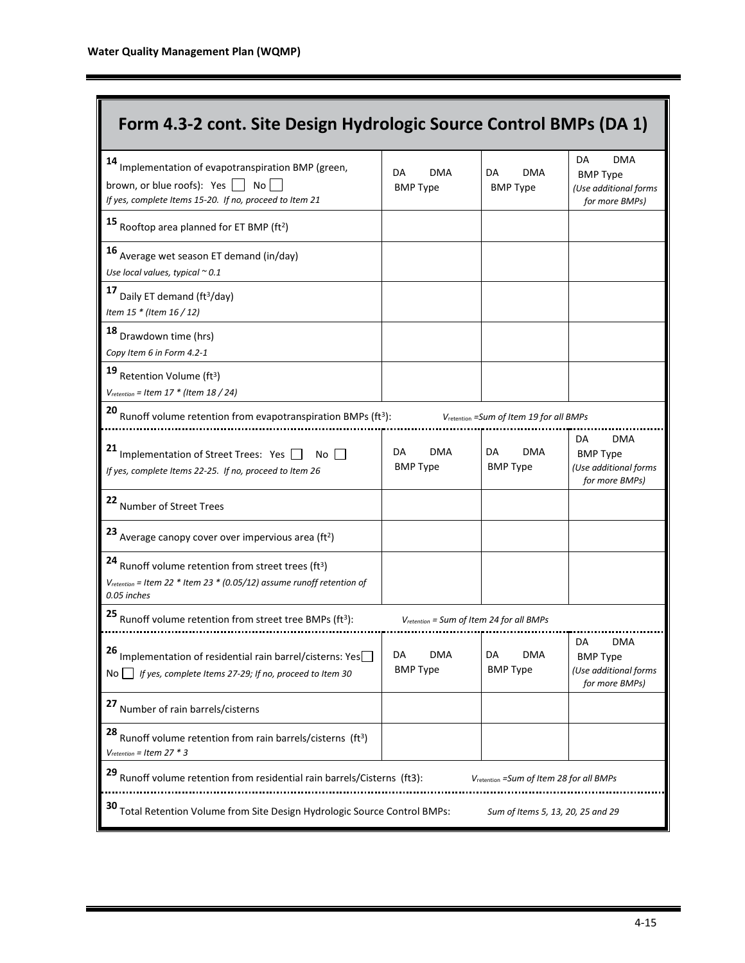| Form 4.3-2 cont. Site Design Hydrologic Source Control BMPs (DA 1)                                                                                                   |                                               |                                                      |                                                                                |  |
|----------------------------------------------------------------------------------------------------------------------------------------------------------------------|-----------------------------------------------|------------------------------------------------------|--------------------------------------------------------------------------------|--|
| 14<br>Implementation of evapotranspiration BMP (green,<br>brown, or blue roofs): Yes<br>No<br>If yes, complete Items 15-20. If no, proceed to Item 21                | <b>DMA</b><br>DA<br><b>BMP Type</b>           | <b>DMA</b><br>DA<br><b>BMP Type</b>                  | DA<br><b>DMA</b><br><b>BMP Type</b><br>(Use additional forms<br>for more BMPs) |  |
| 15 Rooftop area planned for ET BMP (ft <sup>2</sup> )                                                                                                                |                                               |                                                      |                                                                                |  |
| 16<br>Average wet season ET demand (in/day)<br>Use local values, typical $\sim$ 0.1                                                                                  |                                               |                                                      |                                                                                |  |
| 17<br>Daily ET demand (ft <sup>3</sup> /day)<br>Item 15 * (Item 16 / 12)                                                                                             |                                               |                                                      |                                                                                |  |
| 18<br>Drawdown time (hrs)<br>Copy Item 6 in Form 4.2-1                                                                                                               |                                               |                                                      |                                                                                |  |
| 19<br>Retention Volume (ft <sup>3</sup> )<br>$V_{retertion}$ = Item 17 $*$ (Item 18 / 24)                                                                            |                                               |                                                      |                                                                                |  |
| 20<br>Runoff volume retention from evapotranspiration BMPs (ft <sup>3</sup> ):                                                                                       |                                               | V <sub>retention</sub> = Sum of Item 19 for all BMPs |                                                                                |  |
| Implementation of Street Trees: Yes<br>No<br>If yes, complete Items 22-25. If no, proceed to Item 26                                                                 | DA<br><b>DMA</b><br><b>BMP Type</b>           | DA<br><b>DMA</b><br><b>BMP Type</b>                  | <b>DMA</b><br>DA<br><b>BMP Type</b><br>(Use additional forms<br>for more BMPs) |  |
| 22<br>Number of Street Trees                                                                                                                                         |                                               |                                                      |                                                                                |  |
| 23 Average canopy cover over impervious area (ft <sup>2</sup> )                                                                                                      |                                               |                                                      |                                                                                |  |
| Runoff volume retention from street trees (ft <sup>3</sup> )<br>V <sub>retention</sub> = Item 22 $*$ Item 23 $*$ (0.05/12) assume runoff retention of<br>0.05 inches |                                               |                                                      |                                                                                |  |
| Runoff volume retention from street tree BMPs (ft <sup>3</sup> ):                                                                                                    | $V_{retertion}$ = Sum of Item 24 for all BMPs |                                                      |                                                                                |  |
| 26<br>Implementation of residential rain barrel/cisterns: Yes<br>If yes, complete Items 27-29; If no, proceed to Item 30<br>No.                                      | DA<br>DMA<br><b>BMP Type</b>                  | DA<br>DMA<br><b>BMP Type</b>                         | DA<br>DMA<br><b>BMP Type</b><br>(Use additional forms<br>for more BMPs)        |  |
| 27<br>Number of rain barrels/cisterns                                                                                                                                |                                               |                                                      |                                                                                |  |
| 28<br>Runoff volume retention from rain barrels/cisterns (ft <sup>3</sup> )<br>$V_{retertion} = Item 27 * 3$                                                         |                                               |                                                      |                                                                                |  |
| 29<br>Runoff volume retention from residential rain barrels/Cisterns (ft3):<br>V <sub>retention</sub> = Sum of Item 28 for all BMPs                                  |                                               |                                                      |                                                                                |  |
| Total Retention Volume from Site Design Hydrologic Source Control BMPs:<br>Sum of Items 5, 13, 20, 25 and 29                                                         |                                               |                                                      |                                                                                |  |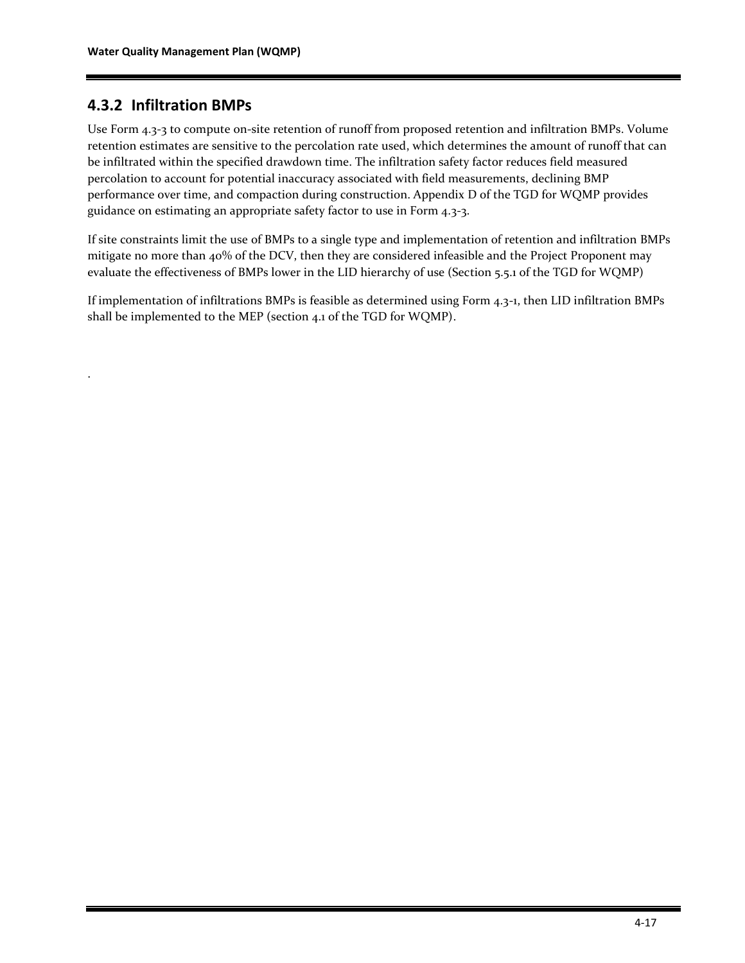### **4.3.2 Infiltration BMPs**

.

Use Form 4.3-3 to compute on-site retention of runoff from proposed retention and infiltration BMPs. Volume retention estimates are sensitive to the percolation rate used, which determines the amount of runoff that can be infiltrated within the specified drawdown time. The infiltration safety factor reduces field measured percolation to account for potential inaccuracy associated with field measurements, declining BMP performance over time, and compaction during construction. Appendix D of the TGD for WQMP provides guidance on estimating an appropriate safety factor to use in Form 4.3-3.

If site constraints limit the use of BMPs to a single type and implementation of retention and infiltration BMPs mitigate no more than 40% of the DCV, then they are considered infeasible and the Project Proponent may evaluate the effectiveness of BMPs lower in the LID hierarchy of use (Section 5.5.1 of the TGD for WQMP)

If implementation of infiltrations BMPs is feasible as determined using Form 4.3-1, then LID infiltration BMPs shall be implemented to the MEP (section 4.1 of the TGD for WQMP).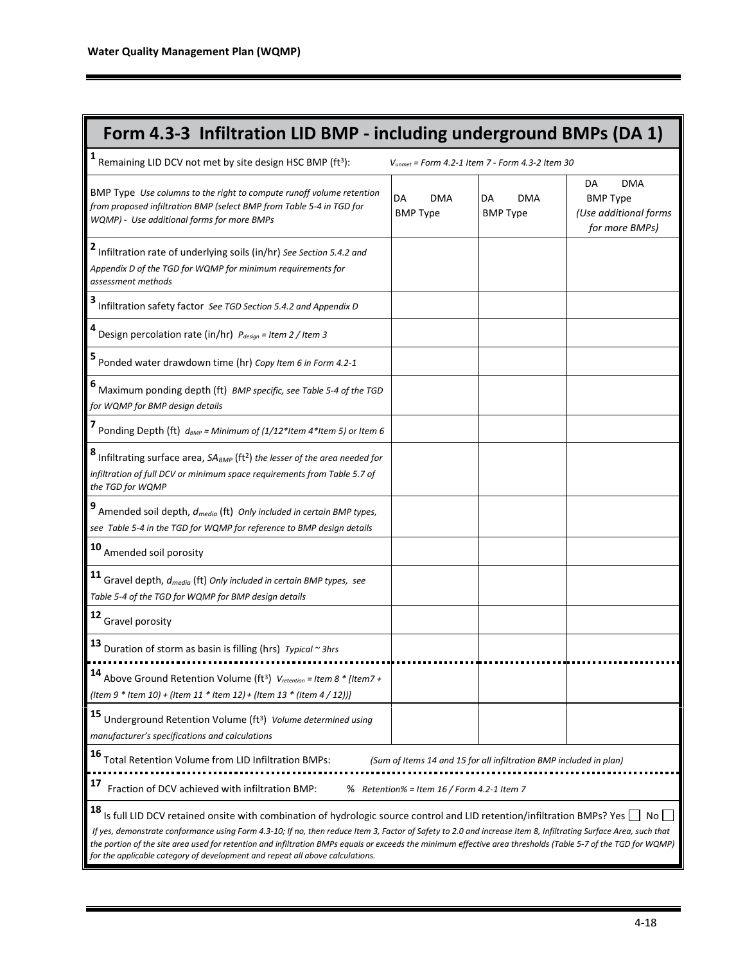| Form 4.3-3 Infiltration LID BMP - including underground BMPs (DA 1)                                                                                                                                                                                                                                                                                                                                                                                                                                                                               |                                            |                                                             |                                                                                |  |  |
|---------------------------------------------------------------------------------------------------------------------------------------------------------------------------------------------------------------------------------------------------------------------------------------------------------------------------------------------------------------------------------------------------------------------------------------------------------------------------------------------------------------------------------------------------|--------------------------------------------|-------------------------------------------------------------|--------------------------------------------------------------------------------|--|--|
| 1<br>Remaining LID DCV not met by site design HSC BMP (ft <sup>3</sup> ):                                                                                                                                                                                                                                                                                                                                                                                                                                                                         |                                            | V <sub>unmet</sub> = Form 4.2-1 Item 7 - Form 4.3-2 Item 30 |                                                                                |  |  |
| BMP Type Use columns to the right to compute runoff volume retention<br>from proposed infiltration BMP (select BMP from Table 5-4 in TGD for<br>WQMP) - Use additional forms for more BMPs                                                                                                                                                                                                                                                                                                                                                        | DA<br>DMA<br><b>BMP Type</b>               | DA<br><b>DMA</b><br><b>BMP Type</b>                         | <b>DMA</b><br>DA<br><b>BMP Type</b><br>(Use additional forms<br>for more BMPs) |  |  |
| Infiltration rate of underlying soils (in/hr) See Section 5.4.2 and<br>Appendix D of the TGD for WQMP for minimum requirements for<br>assessment methods                                                                                                                                                                                                                                                                                                                                                                                          |                                            |                                                             |                                                                                |  |  |
| Infiltration safety factor See TGD Section 5.4.2 and Appendix D                                                                                                                                                                                                                                                                                                                                                                                                                                                                                   |                                            |                                                             |                                                                                |  |  |
| Design percolation rate (in/hr) Pdesign = Item 2 / Item 3                                                                                                                                                                                                                                                                                                                                                                                                                                                                                         |                                            |                                                             |                                                                                |  |  |
| Ponded water drawdown time (hr) Copy Item 6 in Form 4.2-1                                                                                                                                                                                                                                                                                                                                                                                                                                                                                         |                                            |                                                             |                                                                                |  |  |
| Maximum ponding depth (ft) BMP specific, see Table 5-4 of the TGD<br>for WQMP for BMP design details                                                                                                                                                                                                                                                                                                                                                                                                                                              |                                            |                                                             |                                                                                |  |  |
| Ponding Depth (ft) $d_{BMP}$ = Minimum of (1/12*Item 4*Item 5) or Item 6                                                                                                                                                                                                                                                                                                                                                                                                                                                                          |                                            |                                                             |                                                                                |  |  |
| Infiltrating surface area, SA <sub>BMP</sub> (ft <sup>2</sup> ) the lesser of the area needed for<br>infiltration of full DCV or minimum space requirements from Table 5.7 of<br>the TGD for WQMP                                                                                                                                                                                                                                                                                                                                                 |                                            |                                                             |                                                                                |  |  |
| Amended soil depth, d <sub>media</sub> (ft) Only included in certain BMP types,<br>see Table 5-4 in the TGD for WQMP for reference to BMP design details                                                                                                                                                                                                                                                                                                                                                                                          |                                            |                                                             |                                                                                |  |  |
| 10 Amended soil porosity                                                                                                                                                                                                                                                                                                                                                                                                                                                                                                                          |                                            |                                                             |                                                                                |  |  |
| <b>11</b> Gravel depth, $d_{\text{median}}$ (ft) Only included in certain BMP types, see<br>Table 5-4 of the TGD for WQMP for BMP design details                                                                                                                                                                                                                                                                                                                                                                                                  |                                            |                                                             |                                                                                |  |  |
| 12<br>Gravel porosity                                                                                                                                                                                                                                                                                                                                                                                                                                                                                                                             |                                            |                                                             |                                                                                |  |  |
| 13<br>Duration of storm as basin is filling (hrs) Typical ~ 3hrs                                                                                                                                                                                                                                                                                                                                                                                                                                                                                  |                                            |                                                             |                                                                                |  |  |
| 14<br>Above Ground Retention Volume (ft <sup>3</sup> ) Vretention = Item 8 * [Item7 +<br>(Item 9 * Item 10) + (Item 11 * Item 12) + (Item 13 * (Item 4 / 12))]                                                                                                                                                                                                                                                                                                                                                                                    |                                            |                                                             |                                                                                |  |  |
| 15<br>Underground Retention Volume (ft <sup>3</sup> ) Volume determined using<br>manufacturer's specifications and calculations                                                                                                                                                                                                                                                                                                                                                                                                                   |                                            |                                                             |                                                                                |  |  |
| 16<br>Total Retention Volume from LID Infiltration BMPs:<br>(Sum of Items 14 and 15 for all infiltration BMP included in plan)                                                                                                                                                                                                                                                                                                                                                                                                                    |                                            |                                                             |                                                                                |  |  |
| 17<br>Fraction of DCV achieved with infiltration BMP:                                                                                                                                                                                                                                                                                                                                                                                                                                                                                             | % Retention% = Item 16 / Form 4.2-1 Item 7 |                                                             |                                                                                |  |  |
| 18<br>Is full LID DCV retained onsite with combination of hydrologic source control and LID retention/infiltration BMPs? Yes<br>If yes, demonstrate conformance using Form 4.3-10; If no, then reduce Item 3, Factor of Safety to 2.0 and increase Item 8, Infiltrating Surface Area, such that<br>the portion of the site area used for retention and infiltration BMPs equals or exceeds the minimum effective area thresholds (Table 5-7 of the TGD for WQMP)<br>for the applicable category of development and repeat all above calculations. |                                            |                                                             |                                                                                |  |  |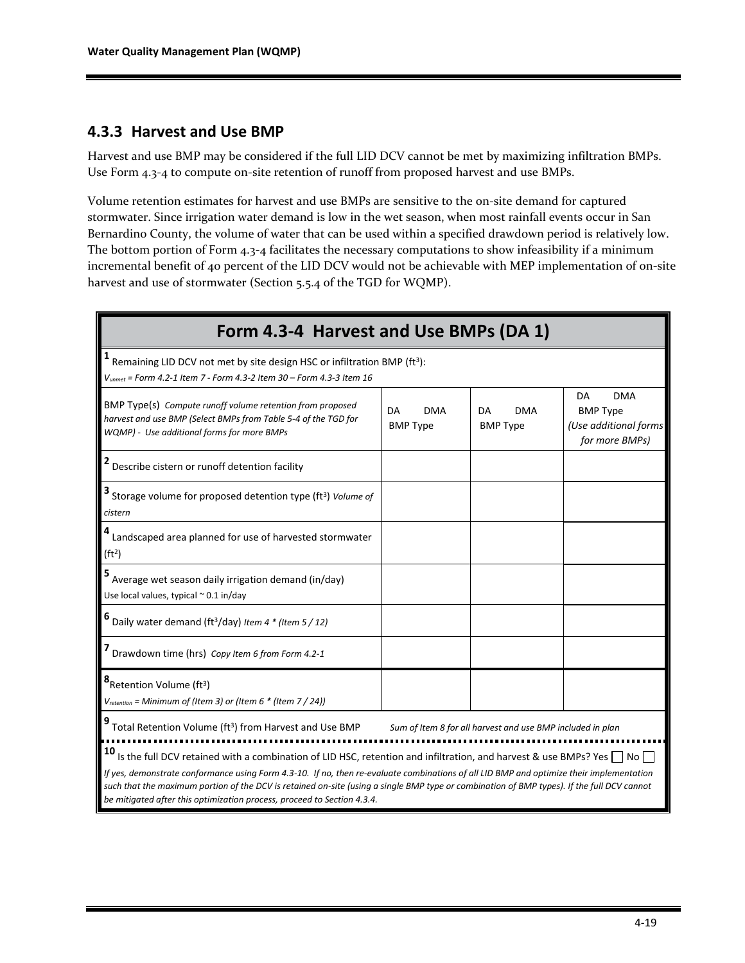#### **4.3.3 Harvest and Use BMP**

Harvest and use BMP may be considered if the full LID DCV cannot be met by maximizing infiltration BMPs. Use Form 4.3-4 to compute on-site retention of runoff from proposed harvest and use BMPs.

Volume retention estimates for harvest and use BMPs are sensitive to the on-site demand for captured stormwater. Since irrigation water demand is low in the wet season, when most rainfall events occur in San Bernardino County, the volume of water that can be used within a specified drawdown period is relatively low. The bottom portion of Form 4.3-4 facilitates the necessary computations to show infeasibility if a minimum incremental benefit of 40 percent of the LID DCV would not be achievable with MEP implementation of on-site harvest and use of stormwater (Section 5.5.4 of the TGD for WQMP).

| Form 4.3-4 Harvest and Use BMPs (DA 1)                                                                                                                                                                                                                                                                                                                                                                                                                                                                      |                                     |                                     |                                                                                |  |
|-------------------------------------------------------------------------------------------------------------------------------------------------------------------------------------------------------------------------------------------------------------------------------------------------------------------------------------------------------------------------------------------------------------------------------------------------------------------------------------------------------------|-------------------------------------|-------------------------------------|--------------------------------------------------------------------------------|--|
| Remaining LID DCV not met by site design HSC or infiltration BMP (ft <sup>3</sup> ):<br>$V_{\text{unmet}}$ = Form 4.2-1 Item 7 - Form 4.3-2 Item 30 – Form 4.3-3 Item 16                                                                                                                                                                                                                                                                                                                                    |                                     |                                     |                                                                                |  |
| BMP Type(s) Compute runoff volume retention from proposed<br>harvest and use BMP (Select BMPs from Table 5-4 of the TGD for<br>WQMP) - Use additional forms for more BMPs                                                                                                                                                                                                                                                                                                                                   | DA<br><b>DMA</b><br><b>BMP Type</b> | <b>DMA</b><br>DA<br><b>BMP Type</b> | <b>DMA</b><br>DA<br><b>BMP Type</b><br>(Use additional forms<br>for more BMPs) |  |
| Describe cistern or runoff detention facility                                                                                                                                                                                                                                                                                                                                                                                                                                                               |                                     |                                     |                                                                                |  |
| Storage volume for proposed detention type (ft <sup>3</sup> ) Volume of<br>cistern                                                                                                                                                                                                                                                                                                                                                                                                                          |                                     |                                     |                                                                                |  |
| Landscaped area planned for use of harvested stormwater<br>(ft <sup>2</sup> )                                                                                                                                                                                                                                                                                                                                                                                                                               |                                     |                                     |                                                                                |  |
| Average wet season daily irrigation demand (in/day)<br>Use local values, typical $\approx$ 0.1 in/day                                                                                                                                                                                                                                                                                                                                                                                                       |                                     |                                     |                                                                                |  |
| Daily water demand (ft <sup>3</sup> /day) Item 4 * (Item 5 / 12)                                                                                                                                                                                                                                                                                                                                                                                                                                            |                                     |                                     |                                                                                |  |
| Drawdown time (hrs) Copy Item 6 from Form 4.2-1                                                                                                                                                                                                                                                                                                                                                                                                                                                             |                                     |                                     |                                                                                |  |
| 8 <sub>Retention Volume (ft<sup>3</sup>)</sub><br>$V_{retraction}$ = Minimum of (Item 3) or (Item 6 $*$ (Item 7 / 24))                                                                                                                                                                                                                                                                                                                                                                                      |                                     |                                     |                                                                                |  |
| Total Retention Volume (ft <sup>3</sup> ) from Harvest and Use BMP<br>Sum of Item 8 for all harvest and use BMP included in plan                                                                                                                                                                                                                                                                                                                                                                            |                                     |                                     |                                                                                |  |
| 10<br>Is the full DCV retained with a combination of LID HSC, retention and infiltration, and harvest & use BMPs? Yes $\Box$ No $\Box$<br>If yes, demonstrate conformance using Form 4.3-10. If no, then re-evaluate combinations of all LID BMP and optimize their implementation<br>such that the maximum portion of the DCV is retained on-site (using a single BMP type or combination of BMP types). If the full DCV cannot<br>be mitigated after this optimization process, proceed to Section 4.3.4. |                                     |                                     |                                                                                |  |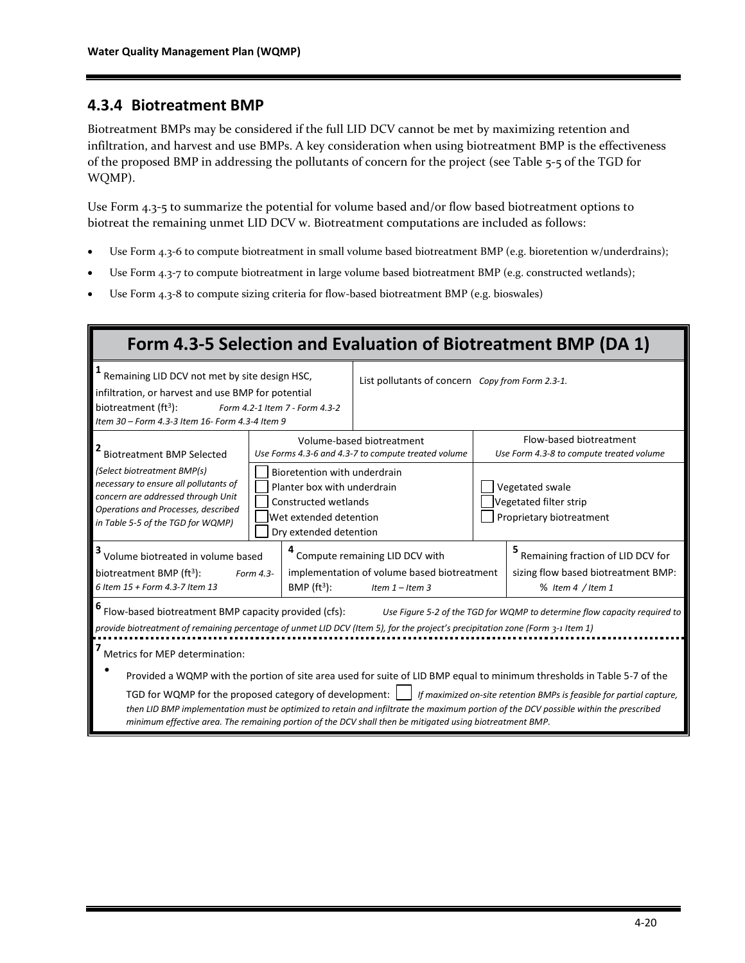#### **4.3.4 Biotreatment BMP**

Biotreatment BMPs may be considered if the full LID DCV cannot be met by maximizing retention and infiltration, and harvest and use BMPs. A key consideration when using biotreatment BMP is the effectiveness of the proposed BMP in addressing the pollutants of concern for the project (see Table 5-5 of the TGD for WQMP).

Use Form 4.3-5 to summarize the potential for volume based and/or flow based biotreatment options to biotreat the remaining unmet LID DCV w. Biotreatment computations are included as follows:

- Use Form 4.3-6 to compute biotreatment in small volume based biotreatment BMP (e.g. bioretention w/underdrains);
- Use Form 4.3-7 to compute biotreatment in large volume based biotreatment BMP (e.g. constructed wetlands);
- Use Form 4.3-8 to compute sizing criteria for flow-based biotreatment BMP (e.g. bioswales)

| Form 4.3-5 Selection and Evaluation of Biotreatment BMP (DA 1)                                                                                                                                                                                                                                                                                                                                                                                                                                                 |                                                                                                |                                                                                                                                         |                                                                                  |                                                                       |                                                                     |
|----------------------------------------------------------------------------------------------------------------------------------------------------------------------------------------------------------------------------------------------------------------------------------------------------------------------------------------------------------------------------------------------------------------------------------------------------------------------------------------------------------------|------------------------------------------------------------------------------------------------|-----------------------------------------------------------------------------------------------------------------------------------------|----------------------------------------------------------------------------------|-----------------------------------------------------------------------|---------------------------------------------------------------------|
| Remaining LID DCV not met by site design HSC,<br>infiltration, or harvest and use BMP for potential<br>biotreatment $(ft^3)$ :<br>Form 4.2-1 Item 7 - Form 4.3-2<br>Item 30 - Form 4.3-3 Item 16- Form 4.3-4 Item 9                                                                                                                                                                                                                                                                                            |                                                                                                | List pollutants of concern Copy from Form 2.3-1.                                                                                        |                                                                                  |                                                                       |                                                                     |
| <b>Biotreatment BMP Selected</b>                                                                                                                                                                                                                                                                                                                                                                                                                                                                               |                                                                                                |                                                                                                                                         | Volume-based biotreatment<br>Use Forms 4.3-6 and 4.3-7 to compute treated volume |                                                                       | Flow-based biotreatment<br>Use Form 4.3-8 to compute treated volume |
| (Select biotreatment BMP(s)<br>necessary to ensure all pollutants of<br>concern are addressed through Unit<br>Operations and Processes, described<br>in Table 5-5 of the TGD for WQMP)                                                                                                                                                                                                                                                                                                                         |                                                                                                | Bioretention with underdrain<br>Planter box with underdrain<br>Constructed wetlands<br>Wet extended detention<br>Dry extended detention |                                                                                  | Vegetated swale<br>Vegetated filter strip<br>Proprietary biotreatment |                                                                     |
| <sup>3</sup> Volume biotreated in volume based                                                                                                                                                                                                                                                                                                                                                                                                                                                                 |                                                                                                |                                                                                                                                         | Compute remaining LID DCV with                                                   |                                                                       | 5 Remaining fraction of LID DCV for                                 |
| biotreatment BMP (ft3):<br>6 Item 15 + Form 4.3-7 Item 13                                                                                                                                                                                                                                                                                                                                                                                                                                                      | implementation of volume based biotreatment<br>Form 4.3-<br>BMP $(ft3)$ :<br>Item $1$ – Item 3 |                                                                                                                                         |                                                                                  | sizing flow based biotreatment BMP:<br>% Item 4 / Item 1              |                                                                     |
| <sup>6</sup> Flow-based biotreatment BMP capacity provided (cfs):<br>Use Figure 5-2 of the TGD for WQMP to determine flow capacity required to<br>provide biotreatment of remaining percentage of unmet LID DCV (Item 5), for the project's precipitation zone (Form 3-1 Item 1)                                                                                                                                                                                                                               |                                                                                                |                                                                                                                                         |                                                                                  |                                                                       |                                                                     |
| Metrics for MEP determination:                                                                                                                                                                                                                                                                                                                                                                                                                                                                                 |                                                                                                |                                                                                                                                         |                                                                                  |                                                                       |                                                                     |
| Provided a WQMP with the portion of site area used for suite of LID BMP equal to minimum thresholds in Table 5-7 of the<br>TGD for WQMP for the proposed category of development:     If maximized on-site retention BMPs is feasible for partial capture,<br>then LID BMP implementation must be optimized to retain and infiltrate the maximum portion of the DCV possible within the prescribed<br>minimum effective area. The remaining portion of the DCV shall then be mitigated using biotreatment BMP. |                                                                                                |                                                                                                                                         |                                                                                  |                                                                       |                                                                     |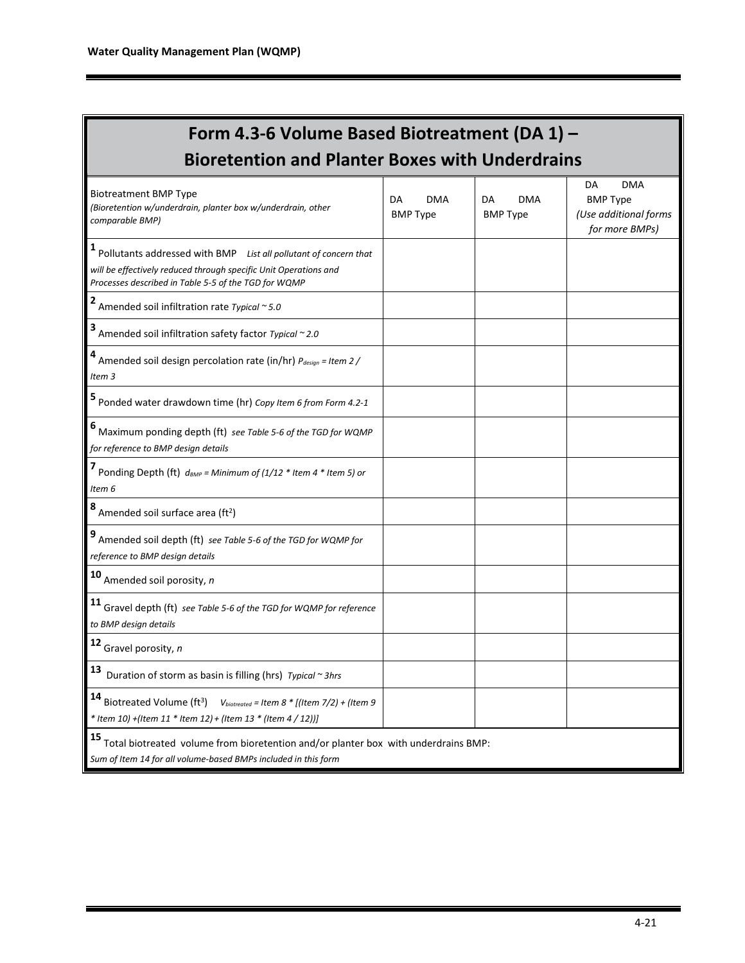| Form 4.3-6 Volume Based Biotreatment (DA 1) -                                                                                                                                                     |                                     |                                     |                                                                                |  |  |
|---------------------------------------------------------------------------------------------------------------------------------------------------------------------------------------------------|-------------------------------------|-------------------------------------|--------------------------------------------------------------------------------|--|--|
| <b>Bioretention and Planter Boxes with Underdrains</b>                                                                                                                                            |                                     |                                     |                                                                                |  |  |
| <b>Biotreatment BMP Type</b><br>(Bioretention w/underdrain, planter box w/underdrain, other<br>comparable BMP)                                                                                    | DA<br><b>DMA</b><br><b>BMP Type</b> | DA<br><b>DMA</b><br><b>BMP Type</b> | <b>DMA</b><br>DA<br><b>BMP Type</b><br>(Use additional forms<br>for more BMPs) |  |  |
| 1<br>Pollutants addressed with BMP List all pollutant of concern that<br>will be effectively reduced through specific Unit Operations and<br>Processes described in Table 5-5 of the TGD for WQMP |                                     |                                     |                                                                                |  |  |
| 2 Amended soil infiltration rate Typical $\sim$ 5.0                                                                                                                                               |                                     |                                     |                                                                                |  |  |
| Amended soil infiltration safety factor Typical ~ 2.0                                                                                                                                             |                                     |                                     |                                                                                |  |  |
| 4 Amended soil design percolation rate (in/hr) $P_{design} = Item 2 /$<br>Item <sub>3</sub>                                                                                                       |                                     |                                     |                                                                                |  |  |
| 5 Ponded water drawdown time (hr) Copy Item 6 from Form 4.2-1                                                                                                                                     |                                     |                                     |                                                                                |  |  |
| 6 Maximum ponding depth (ft) see Table 5-6 of the TGD for WQMP<br>for reference to BMP design details                                                                                             |                                     |                                     |                                                                                |  |  |
| Ponding Depth (ft) $d_{BMP}$ = Minimum of (1/12 * Item 4 * Item 5) or<br>Item 6                                                                                                                   |                                     |                                     |                                                                                |  |  |
| $8$ Amended soil surface area (ft <sup>2</sup> )                                                                                                                                                  |                                     |                                     |                                                                                |  |  |
| Amended soil depth (ft) see Table 5-6 of the TGD for WQMP for<br>reference to BMP design details                                                                                                  |                                     |                                     |                                                                                |  |  |
| 10 Amended soil porosity, n                                                                                                                                                                       |                                     |                                     |                                                                                |  |  |
| 11<br>Gravel depth (ft) see Table 5-6 of the TGD for WQMP for reference<br>to BMP design details                                                                                                  |                                     |                                     |                                                                                |  |  |
| 12<br>Gravel porosity, n                                                                                                                                                                          |                                     |                                     |                                                                                |  |  |
| 13<br>Duration of storm as basin is filling (hrs) Typical ~ 3hrs                                                                                                                                  |                                     |                                     |                                                                                |  |  |
| 14 Biotreated Volume (ft <sup>3</sup> )<br>$V_{biotreated}$ = Item 8 * [(Item 7/2) + (Item 9<br>* Item 10) + (Item 11 * Item 12) + (Item 13 * (Item 4 / 12))]                                     |                                     |                                     |                                                                                |  |  |
| 15<br>Total biotreated volume from bioretention and/or planter box with underdrains BMP:<br>Sum of Item 14 for all volume-based BMPs included in this form                                        |                                     |                                     |                                                                                |  |  |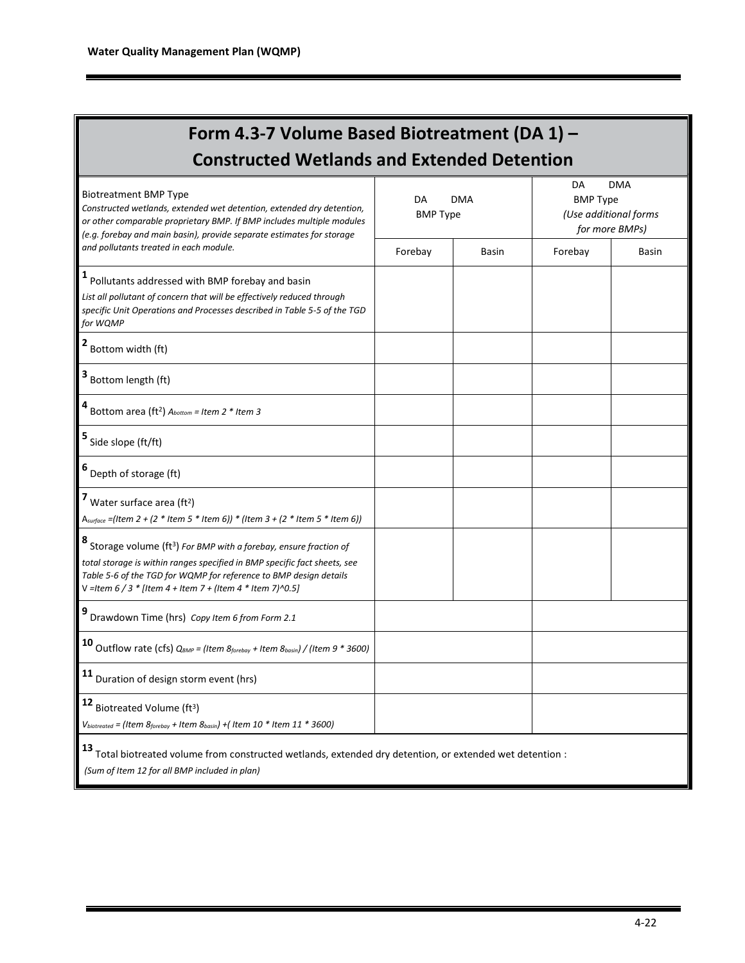| Form 4.3-7 Volume Based Biotreatment (DA 1) -                                                                                                                                                                                                                                                      |                       |              |         |                                                                          |  |
|----------------------------------------------------------------------------------------------------------------------------------------------------------------------------------------------------------------------------------------------------------------------------------------------------|-----------------------|--------------|---------|--------------------------------------------------------------------------|--|
| <b>Constructed Wetlands and Extended Detention</b>                                                                                                                                                                                                                                                 |                       |              |         |                                                                          |  |
| <b>Biotreatment BMP Type</b><br>Constructed wetlands, extended wet detention, extended dry detention,<br>or other comparable proprietary BMP. If BMP includes multiple modules<br>(e.g. forebay and main basin), provide separate estimates for storage                                            | DA<br><b>BMP Type</b> | <b>DMA</b>   | DA      | <b>DMA</b><br><b>BMP Type</b><br>(Use additional forms<br>for more BMPs) |  |
| and pollutants treated in each module.                                                                                                                                                                                                                                                             | Forebay               | <b>Basin</b> | Forebay | <b>Basin</b>                                                             |  |
| <sup>1</sup> Pollutants addressed with BMP forebay and basin<br>List all pollutant of concern that will be effectively reduced through<br>specific Unit Operations and Processes described in Table 5-5 of the TGD<br>for WQMP                                                                     |                       |              |         |                                                                          |  |
| Bottom width (ft)                                                                                                                                                                                                                                                                                  |                       |              |         |                                                                          |  |
| Bottom length (ft)                                                                                                                                                                                                                                                                                 |                       |              |         |                                                                          |  |
| Bottom area (ft <sup>2</sup> ) $A_{bottom} = Item\ 2 * Item\ 3$                                                                                                                                                                                                                                    |                       |              |         |                                                                          |  |
| Side slope (ft/ft)                                                                                                                                                                                                                                                                                 |                       |              |         |                                                                          |  |
| 6 Depth of storage (ft)                                                                                                                                                                                                                                                                            |                       |              |         |                                                                          |  |
| Water surface area (ft <sup>2</sup> )<br>A <sub>surface</sub> = (Item 2 + (2 * Item 5 * Item 6)) * (Item 3 + (2 * Item 5 * Item 6))                                                                                                                                                                |                       |              |         |                                                                          |  |
| Storage volume (ft <sup>3</sup> ) For BMP with a forebay, ensure fraction of<br>total storage is within ranges specified in BMP specific fact sheets, see<br>Table 5-6 of the TGD for WQMP for reference to BMP design details<br>V = Item $6/3$ * [Item $4 +$ Item $7 +$ (Item $4$ * Item 7)^0.5] |                       |              |         |                                                                          |  |
| Drawdown Time (hrs) Copy Item 6 from Form 2.1                                                                                                                                                                                                                                                      |                       |              |         |                                                                          |  |
| <b>10</b> Outflow rate (cfs) $Q_{BMP}$ = (Item $g_{foreboy}$ + Item $g_{bosin}$ ) / (Item 9 $*$ 3600)                                                                                                                                                                                              |                       |              |         |                                                                          |  |
| 11 Duration of design storm event (hrs)                                                                                                                                                                                                                                                            |                       |              |         |                                                                          |  |
| $12$ Biotreated Volume (ft <sup>3</sup> )<br>$V_{biotreated}$ = (Item $8_{forebay}$ + Item $8_{basin}$ ) + (Item 10 * Item 11 * 3600)                                                                                                                                                              |                       |              |         |                                                                          |  |
| 13<br>Total biotreated volume from constructed wetlands, extended dry detention, or extended wet detention :<br>(Sum of Item 12 for all BMP included in plan)                                                                                                                                      |                       |              |         |                                                                          |  |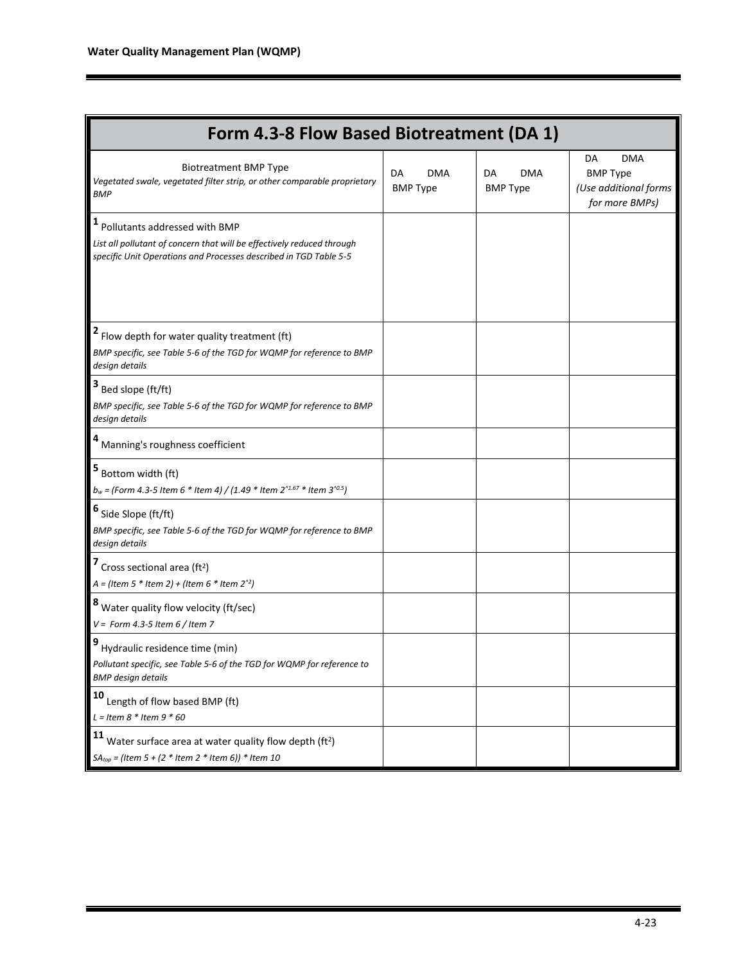| Form 4.3-8 Flow Based Biotreatment (DA 1)                                                                                                                                    |                              |                              |                                                                                |  |  |
|------------------------------------------------------------------------------------------------------------------------------------------------------------------------------|------------------------------|------------------------------|--------------------------------------------------------------------------------|--|--|
| <b>Biotreatment BMP Type</b><br>Vegetated swale, vegetated filter strip, or other comparable proprietary<br><b>BMP</b>                                                       | DA<br>DMA<br><b>BMP Type</b> | DA<br>DMA<br><b>BMP Type</b> | <b>DMA</b><br>DA<br><b>BMP Type</b><br>(Use additional forms<br>for more BMPs) |  |  |
| Pollutants addressed with BMP<br>List all pollutant of concern that will be effectively reduced through<br>specific Unit Operations and Processes described in TGD Table 5-5 |                              |                              |                                                                                |  |  |
| Flow depth for water quality treatment (ft)<br>BMP specific, see Table 5-6 of the TGD for WQMP for reference to BMP<br>design details                                        |                              |                              |                                                                                |  |  |
| Bed slope (ft/ft)<br>BMP specific, see Table 5-6 of the TGD for WQMP for reference to BMP<br>design details                                                                  |                              |                              |                                                                                |  |  |
| Manning's roughness coefficient                                                                                                                                              |                              |                              |                                                                                |  |  |
| Bottom width (ft)<br>$b_w$ = (Form 4.3-5 Item 6 * Item 4) / (1.49 * Item 2 $1.67$ * Item 3 $10.5$ )                                                                          |                              |                              |                                                                                |  |  |
| 6<br>Side Slope (ft/ft)<br>BMP specific, see Table 5-6 of the TGD for WQMP for reference to BMP<br>design details                                                            |                              |                              |                                                                                |  |  |
| Cross sectional area ( $ft2$ )<br>$A = (Item 5 * Item 2) + (Item 6 * Item 22)$                                                                                               |                              |                              |                                                                                |  |  |
| Water quality flow velocity (ft/sec)<br>$V =$ Form 4.3-5 Item 6 / Item 7                                                                                                     |                              |                              |                                                                                |  |  |
| Hydraulic residence time (min)<br>Pollutant specific, see Table 5-6 of the TGD for WQMP for reference to<br><b>BMP</b> design details                                        |                              |                              |                                                                                |  |  |
| 10<br>Length of flow based BMP (ft)<br>$L =$ Item 8 * Item 9 * 60                                                                                                            |                              |                              |                                                                                |  |  |
| 11<br>Water surface area at water quality flow depth (ft <sup>2</sup> )<br>$SA_{top}$ = (Item 5 + (2 * Item 2 * Item 6)) * Item 10                                           |                              |                              |                                                                                |  |  |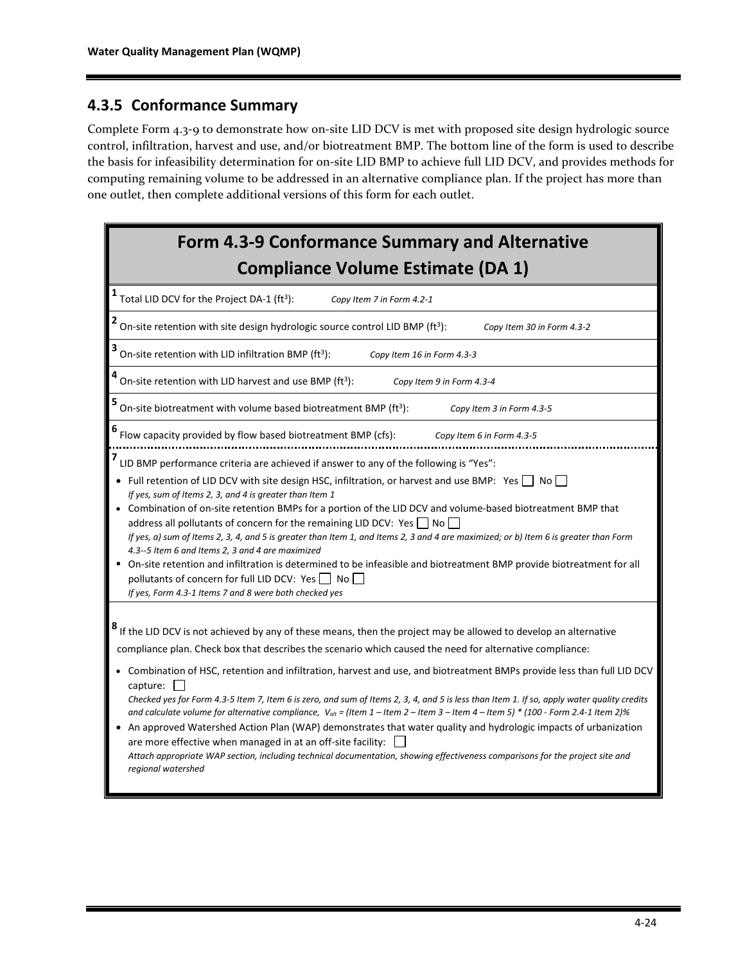### **4.3.5 Conformance Summary**

Complete Form 4.3-9 to demonstrate how on-site LID DCV is met with proposed site design hydrologic source control, infiltration, harvest and use, and/or biotreatment BMP. The bottom line of the form is used to describe the basis for infeasibility determination for on-site LID BMP to achieve full LID DCV, and provides methods for computing remaining volume to be addressed in an alternative compliance plan. If the project has more than one outlet, then complete additional versions of this form for each outlet.

| <b>Form 4.3-9 Conformance Summary and Alternative</b><br><b>Compliance Volume Estimate (DA 1)</b>                                                                                                                                                                                                                                                                                                                                                                                                                                                                                                                                                                                                                                                                                                                                                                                                                                                                                                          |
|------------------------------------------------------------------------------------------------------------------------------------------------------------------------------------------------------------------------------------------------------------------------------------------------------------------------------------------------------------------------------------------------------------------------------------------------------------------------------------------------------------------------------------------------------------------------------------------------------------------------------------------------------------------------------------------------------------------------------------------------------------------------------------------------------------------------------------------------------------------------------------------------------------------------------------------------------------------------------------------------------------|
| <b>1</b> Total LID DCV for the Project DA-1 (ft <sup>3</sup> ):<br>Copy Item 7 in Form 4.2-1                                                                                                                                                                                                                                                                                                                                                                                                                                                                                                                                                                                                                                                                                                                                                                                                                                                                                                               |
| $2$ On-site retention with site design hydrologic source control LID BMP (ft <sup>3</sup> ):<br>Copy Item 30 in Form 4.3-2                                                                                                                                                                                                                                                                                                                                                                                                                                                                                                                                                                                                                                                                                                                                                                                                                                                                                 |
| $3$ On-site retention with LID infiltration BMP (ft <sup>3</sup> ):<br>Copy Item 16 in Form 4.3-3                                                                                                                                                                                                                                                                                                                                                                                                                                                                                                                                                                                                                                                                                                                                                                                                                                                                                                          |
| On-site retention with LID harvest and use BMP (ft <sup>3</sup> ):<br>Copy Item 9 in Form 4.3-4                                                                                                                                                                                                                                                                                                                                                                                                                                                                                                                                                                                                                                                                                                                                                                                                                                                                                                            |
| 5<br>On-site biotreatment with volume based biotreatment BMP (ft <sup>3</sup> ):<br>Copy Item 3 in Form 4.3-5                                                                                                                                                                                                                                                                                                                                                                                                                                                                                                                                                                                                                                                                                                                                                                                                                                                                                              |
| Flow capacity provided by flow based biotreatment BMP (cfs):<br>Copy Item 6 in Form 4.3-5                                                                                                                                                                                                                                                                                                                                                                                                                                                                                                                                                                                                                                                                                                                                                                                                                                                                                                                  |
| LID BMP performance criteria are achieved if answer to any of the following is "Yes":<br>• Full retention of LID DCV with site design HSC, infiltration, or harvest and use BMP: Yes $\Box$ No $\Box$<br>If yes, sum of Items 2, 3, and 4 is greater than Item 1<br>Combination of on-site retention BMPs for a portion of the LID DCV and volume-based biotreatment BMP that<br>address all pollutants of concern for the remaining LID DCV: Yes $\Box$ No $\Box$<br>If yes, a) sum of Items 2, 3, 4, and 5 is greater than Item 1, and Items 2, 3 and 4 are maximized; or b) Item 6 is greater than Form<br>4.3--5 Item 6 and Items 2, 3 and 4 are maximized<br>On-site retention and infiltration is determined to be infeasible and biotreatment BMP provide biotreatment for all<br>pollutants of concern for full LID DCV: Yes   No<br>If yes, Form 4.3-1 Items 7 and 8 were both checked yes                                                                                                        |
| If the LID DCV is not achieved by any of these means, then the project may be allowed to develop an alternative<br>compliance plan. Check box that describes the scenario which caused the need for alternative compliance:<br>• Combination of HSC, retention and infiltration, harvest and use, and biotreatment BMPs provide less than full LID DCV<br>capture:<br>Checked yes for Form 4.3-5 Item 7, Item 6 is zero, and sum of Items 2, 3, 4, and 5 is less than Item 1. If so, apply water quality credits<br>and calculate volume for alternative compliance, $V_{\text{alt}} = ($ ltem 1 – Item 2 – Item 3 – Item 4 – Item 5) * (100 - Form 2.4-1 Item 2)%<br>An approved Watershed Action Plan (WAP) demonstrates that water quality and hydrologic impacts of urbanization<br>are more effective when managed in at an off-site facility:<br>Attach appropriate WAP section, including technical documentation, showing effectiveness comparisons for the project site and<br>regional watershed |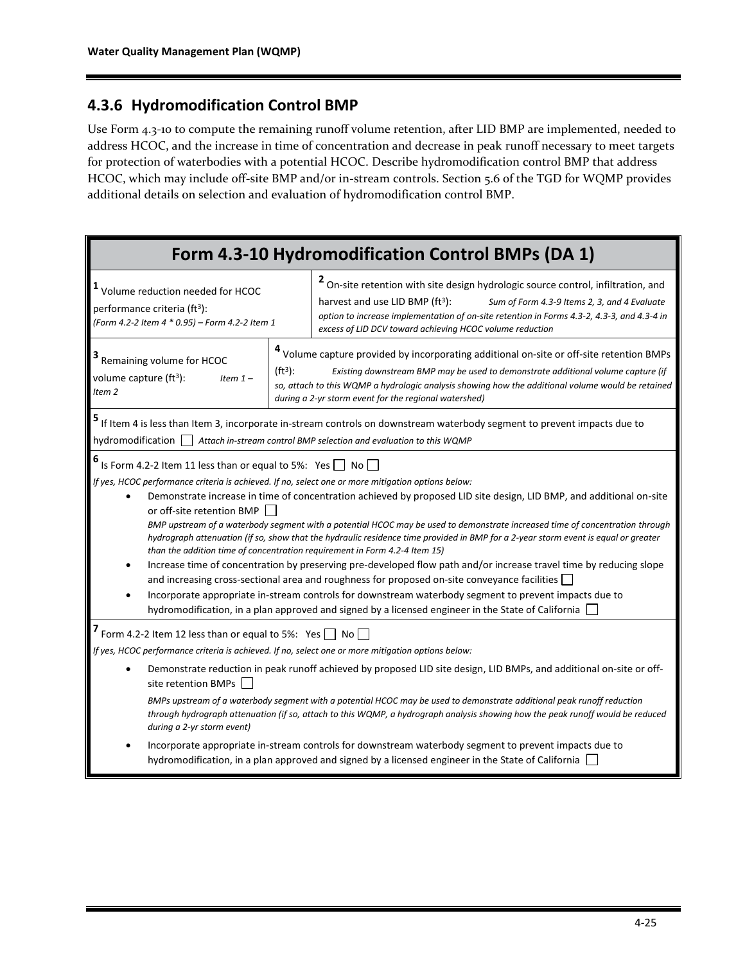### **4.3.6 Hydromodification Control BMP**

Use Form 4.3-10 to compute the remaining runoff volume retention, after LID BMP are implemented, needed to address HCOC, and the increase in time of concentration and decrease in peak runoff necessary to meet targets for protection of waterbodies with a potential HCOC. Describe hydromodification control BMP that address HCOC, which may include off-site BMP and/or in-stream controls. Section 5.6 of the TGD for WQMP provides additional details on selection and evaluation of hydromodification control BMP.

|                                                                                                                                                                                                                                                                                                                                                                                                                                                                                                                                                                                                                                                                                                                                                                                                                                                                                                                                                                                                                                                                                                                               |  | Form 4.3-10 Hydromodification Control BMPs (DA 1)                                                                                                                                                                                                                                                                                                     |  |  |  |
|-------------------------------------------------------------------------------------------------------------------------------------------------------------------------------------------------------------------------------------------------------------------------------------------------------------------------------------------------------------------------------------------------------------------------------------------------------------------------------------------------------------------------------------------------------------------------------------------------------------------------------------------------------------------------------------------------------------------------------------------------------------------------------------------------------------------------------------------------------------------------------------------------------------------------------------------------------------------------------------------------------------------------------------------------------------------------------------------------------------------------------|--|-------------------------------------------------------------------------------------------------------------------------------------------------------------------------------------------------------------------------------------------------------------------------------------------------------------------------------------------------------|--|--|--|
| <sup>1</sup> Volume reduction needed for HCOC<br>performance criteria (ft <sup>3</sup> ):<br>(Form 4.2-2 Item 4 * 0.95) - Form 4.2-2 Item 1                                                                                                                                                                                                                                                                                                                                                                                                                                                                                                                                                                                                                                                                                                                                                                                                                                                                                                                                                                                   |  | <sup>2</sup> On-site retention with site design hydrologic source control, infiltration, and<br>harvest and use LID BMP (ft <sup>3</sup> ):<br>Sum of Form 4.3-9 Items 2, 3, and 4 Evaluate<br>option to increase implementation of on-site retention in Forms 4.3-2, 4.3-3, and 4.3-4 in<br>excess of LID DCV toward achieving HCOC volume reduction |  |  |  |
| Remaining volume for HCOC<br>$(ft^3)$ :<br>volume capture $(ft^3)$ :<br>Item $1-$<br>Item <sub>2</sub>                                                                                                                                                                                                                                                                                                                                                                                                                                                                                                                                                                                                                                                                                                                                                                                                                                                                                                                                                                                                                        |  | <sup>4</sup> Volume capture provided by incorporating additional on-site or off-site retention BMPs<br>Existing downstream BMP may be used to demonstrate additional volume capture (if<br>so, attach to this WQMP a hydrologic analysis showing how the additional volume would be retained<br>during a 2-yr storm event for the regional watershed) |  |  |  |
| hydromodification   Attach in-stream control BMP selection and evaluation to this WQMP                                                                                                                                                                                                                                                                                                                                                                                                                                                                                                                                                                                                                                                                                                                                                                                                                                                                                                                                                                                                                                        |  | If Item 4 is less than Item 3, incorporate in-stream controls on downstream waterbody segment to prevent impacts due to                                                                                                                                                                                                                               |  |  |  |
| 6<br>Is Form 4.2-2 Item 11 less than or equal to 5%: Yes   No<br>If yes, HCOC performance criteria is achieved. If no, select one or more mitigation options below:<br>Demonstrate increase in time of concentration achieved by proposed LID site design, LID BMP, and additional on-site<br>$\bullet$<br>or off-site retention BMP<br>BMP upstream of a waterbody segment with a potential HCOC may be used to demonstrate increased time of concentration through<br>hydrograph attenuation (if so, show that the hydraulic residence time provided in BMP for a 2-year storm event is equal or greater<br>than the addition time of concentration requirement in Form 4.2-4 Item 15)<br>Increase time of concentration by preserving pre-developed flow path and/or increase travel time by reducing slope<br>and increasing cross-sectional area and roughness for proposed on-site conveyance facilities<br>Incorporate appropriate in-stream controls for downstream waterbody segment to prevent impacts due to<br>hydromodification, in a plan approved and signed by a licensed engineer in the State of California |  |                                                                                                                                                                                                                                                                                                                                                       |  |  |  |
| Form 4.2-2 Item 12 less than or equal to 5%: Yes $\Box$ No $\Box$<br>If yes, HCOC performance criteria is achieved. If no, select one or more mitigation options below:<br>Demonstrate reduction in peak runoff achieved by proposed LID site design, LID BMPs, and additional on-site or off-                                                                                                                                                                                                                                                                                                                                                                                                                                                                                                                                                                                                                                                                                                                                                                                                                                |  |                                                                                                                                                                                                                                                                                                                                                       |  |  |  |
| site retention BMPs<br>BMPs upstream of a waterbody segment with a potential HCOC may be used to demonstrate additional peak runoff reduction<br>through hydrograph attenuation (if so, attach to this WQMP, a hydrograph analysis showing how the peak runoff would be reduced<br>during a 2-yr storm event)                                                                                                                                                                                                                                                                                                                                                                                                                                                                                                                                                                                                                                                                                                                                                                                                                 |  |                                                                                                                                                                                                                                                                                                                                                       |  |  |  |
|                                                                                                                                                                                                                                                                                                                                                                                                                                                                                                                                                                                                                                                                                                                                                                                                                                                                                                                                                                                                                                                                                                                               |  | Incorporate appropriate in-stream controls for downstream waterbody segment to prevent impacts due to<br>hydromodification, in a plan approved and signed by a licensed engineer in the State of California                                                                                                                                           |  |  |  |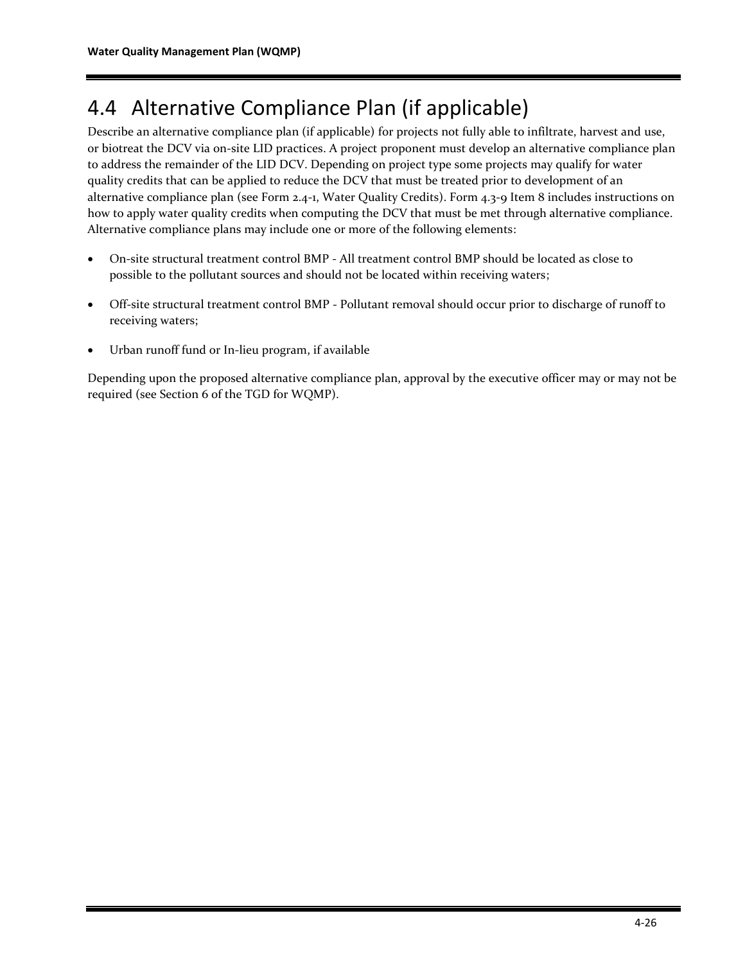## 4.4 Alternative Compliance Plan (if applicable)

Describe an alternative compliance plan (if applicable) for projects not fully able to infiltrate, harvest and use, or biotreat the DCV via on-site LID practices. A project proponent must develop an alternative compliance plan to address the remainder of the LID DCV. Depending on project type some projects may qualify for water quality credits that can be applied to reduce the DCV that must be treated prior to development of an alternative compliance plan (see Form 2.4-1, Water Quality Credits). Form 4.3-9 Item 8 includes instructions on how to apply water quality credits when computing the DCV that must be met through alternative compliance. Alternative compliance plans may include one or more of the following elements:

- On-site structural treatment control BMP All treatment control BMP should be located as close to possible to the pollutant sources and should not be located within receiving waters;
- Off-site structural treatment control BMP Pollutant removal should occur prior to discharge of runoff to receiving waters;
- Urban runoff fund or In-lieu program, if available

Depending upon the proposed alternative compliance plan, approval by the executive officer may or may not be required (see Section 6 of the TGD for WQMP).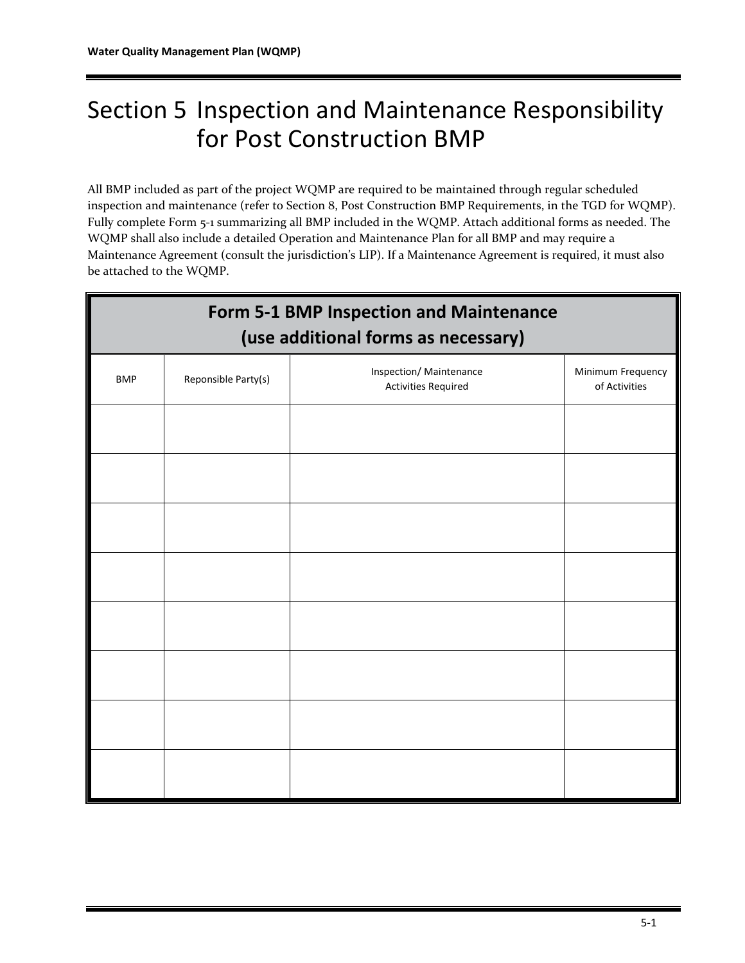# Section 5 Inspection and Maintenance Responsibility for Post Construction BMP

All BMP included as part of the project WQMP are required to be maintained through regular scheduled inspection and maintenance (refer to Section 8, Post Construction BMP Requirements, in the TGD for WQMP). Fully complete Form 5-1 summarizing all BMP included in the WQMP. Attach additional forms as needed. The WQMP shall also include a detailed Operation and Maintenance Plan for all BMP and may require a Maintenance Agreement (consult the jurisdiction's LIP). If a Maintenance Agreement is required, it must also be attached to the WQMP.

|            | Form 5-1 BMP Inspection and Maintenance<br>(use additional forms as necessary) |                                                       |                                    |  |  |
|------------|--------------------------------------------------------------------------------|-------------------------------------------------------|------------------------------------|--|--|
| <b>BMP</b> | Reponsible Party(s)                                                            | Inspection/ Maintenance<br><b>Activities Required</b> | Minimum Frequency<br>of Activities |  |  |
|            |                                                                                |                                                       |                                    |  |  |
|            |                                                                                |                                                       |                                    |  |  |
|            |                                                                                |                                                       |                                    |  |  |
|            |                                                                                |                                                       |                                    |  |  |
|            |                                                                                |                                                       |                                    |  |  |
|            |                                                                                |                                                       |                                    |  |  |
|            |                                                                                |                                                       |                                    |  |  |
|            |                                                                                |                                                       |                                    |  |  |